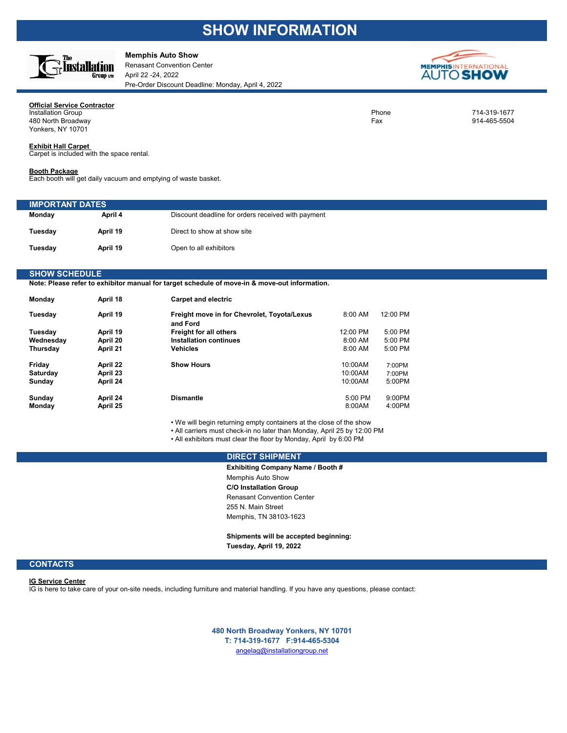## **SHOW INFORMATION**



### **Memphis Auto Show**

Renasant Convention Center April 22 -24, 2022 Pre-Order Discount Deadline: Monday, April 4, 2022



### **Official Service Contractor**<br>Installation Group Installation Group Phone 714-319-1677

a and the set of the set of the set of the set of the set of the set of the set of the set of the set of the set of the set of the set of the set of the set of the set of the set of the set of the set of the set of the set Yonkers, NY 10701

### **Exhibit Hall Carpet**

Carpet is included with the space rental.

### **Booth Package**

Each booth will get daily vacuum and emptying of waste basket.

| <b>IMPORTANT DATES</b> |          |                                                    |
|------------------------|----------|----------------------------------------------------|
| Monday                 | April 4  | Discount deadline for orders received with payment |
| Tuesday                | April 19 | Direct to show at show site                        |
| Tuesday                | April 19 | Open to all exhibitors                             |

### **SHOW SCHEDULE**

**Note: Please refer to exhibitor manual for target schedule of move-in & move-out information.**

| Mondav    | April 18 | <b>Carpet and electric</b>                              |           |           |
|-----------|----------|---------------------------------------------------------|-----------|-----------|
| Tuesday   | April 19 | Freight move in for Chevrolet, Toyota/Lexus<br>and Ford | $8:00$ AM | 12:00 PM  |
| Tuesday   | April 19 | <b>Freight for all others</b>                           | 12:00 PM  | $5:00$ PM |
| Wednesday | April 20 | Installation continues                                  | $8:00$ AM | $5:00$ PM |
| Thursday  | April 21 | <b>Vehicles</b>                                         | 8:00 AM   | 5:00 PM   |
| Friday    | April 22 | <b>Show Hours</b>                                       | 10:00AM   | 7:00PM    |
| Saturday  | April 23 |                                                         | 10:00AM   | 7:00PM    |
| Sundav    | April 24 |                                                         | 10:00AM   | 5:00PM    |
| Sunday    | April 24 | <b>Dismantle</b>                                        | $5:00$ PM | $9:00$ PM |
| Monday    | April 25 |                                                         | 8:00AM    | 4:00PM    |

• We will begin returning empty containers at the close of the show

• All carriers must check-in no later than Monday, April 25 by 12:00 PM

• All exhibitors must clear the floor by Monday, April by 6:00 PM

### **DIRECT SHIPMENT**

**Exhibiting Company Name / Booth #** Memphis Auto Show **C/O Installation Group** Renasant Convention Center 255 N. Main Street Memphis, TN 38103-1623

**Shipments will be accepted beginning: Tuesday, April 19, 2022**

### **CONTACTS**

### **IG Service Center**

IG is here to take care of your on-site needs, including furniture and material handling. If you have any questions, please contact:

angelag@installationgroup.net **480 North Broadway Yonkers, NY 10701 T: 714-319-1677 F:914-465-5304**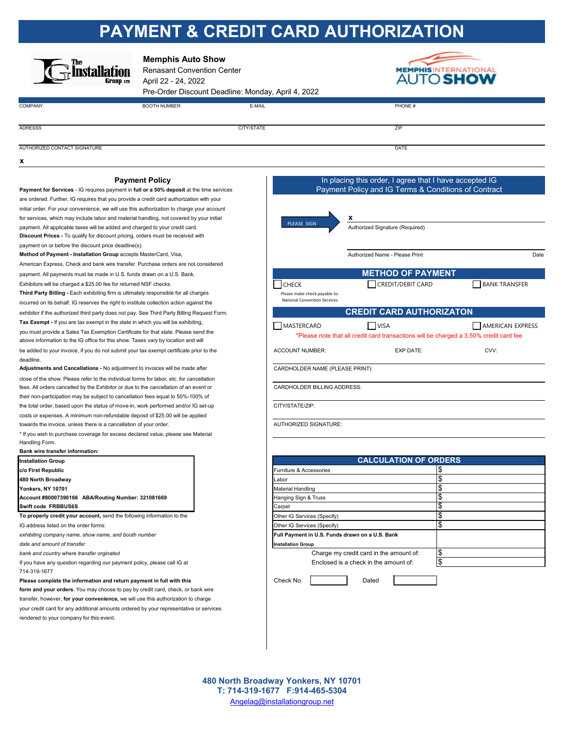# **PAYMENT & CREDIT CARD AUTHORIZATION**

| The<br>Group em              | <b>Memphis Auto Show</b><br><b>Renasant Convention Center</b><br>April 22 - 24, 2022 | Pre-Order Discount Deadline: Monday, April 4, 2022 | <b>MEMPHIS</b><br><b>AUTO SHOW</b> |
|------------------------------|--------------------------------------------------------------------------------------|----------------------------------------------------|------------------------------------|
| <b>COMPANY</b>               | <b>BOOTH NUMBER</b>                                                                  | E-MAIL                                             | PHONE #                            |
|                              |                                                                                      |                                                    |                                    |
| <b>ADRESSS</b>               |                                                                                      | CITY/STATE                                         | ZIP                                |
|                              |                                                                                      |                                                    |                                    |
| AUTHORIZED CONTACT SIGNATURE |                                                                                      |                                                    | DATE                               |
| x                            |                                                                                      |                                                    |                                    |

### **Payment Policy Payment Policy In placing this order, I agree that I have accepted IG**

**Payment for Services** - IG requires payment in **full or a 50% deposit** at the time services are ordered. Further, IG requires that you provide a credit card authorization with your initial order. For your convenience, we will use this authorization to charge your account for services, which may include labor and material handling, not covered by your initial **x** payment. All applicable taxes will be added and charged to your credit card. Authorized Signature (Required) extends the credit card. **Discount Prices -** To qualify for discount pricing, orders must be received with payment on or before the discount price deadline(s).

American Express, Check and bank wire transfer. Purchase orders are not considered payment. All payments must be made in U.S. funds drawn on a U.S. Bank.

Exhibitors will be charged a \$25.00 fee for returned NSF checks.

**Third Party Billing -** Each exhibiting firm is ultimately responsible for all charges incurred on its behalf. IG reserves the right to institute collection action against the exhibitor if the authorized third party does not pay. See Third Party Billing Request Form. **Tax Exempt -** If you are tax exempt in the state in which you will be exhibiting, you must provide a Sales Tax Exemption Certificate for that state. Please send the above information to the IG office for this show. Taxes vary by location and will deadline.

Adjustments and Cancellations - No adjustment to invoices will be made after **CARDHOLDER NAME (PLEASE PRINT)**: close of the show. Please refer to the individual forms for labor, etc. for cancellation fees. All orders cancelled by the Exhibitor or due to the cancellation of an event or CARDHOLDER BILLING ADDRESS: their non-participation may be subject to cancellation fees equal to 50%-100% of the total order, based upon the status of move-in, work performed and/or IG set-up CITY/STATE/ZIP: costs or expenses. A minimum non-refundable deposit of \$25.00 will be applied towards the invoice, unless there is a cancellation of your order. <br>
AUTHORIZED SIGNATURE:

\* If you wish to purchase coverage for excess declared value, please see Material Handling Form.

### **Bank wire transfer information:**

| <b>Installation Group</b> |                                                    |
|---------------------------|----------------------------------------------------|
| c/o First Republic        |                                                    |
| 480 North Broadway        |                                                    |
| Yonkers, NY 10701         |                                                    |
|                           | Account #80007390166 ABA/Routing Number: 321081669 |
| Swift code FRBBUS6S       |                                                    |

*date and amount of transfer* **Installation Group**

If you have any question regarding our payment policy, please call IG at Enclosed is a check in the amount of: 714-319-1677

**Please complete the information and return payment in full with this Check No Check No Pated Check No Pated** 

**form and your orders.** You may choose to pay by credit card, check, or bank wire transfer, however, **for your convenience,** we will use this authorization to charge

your credit card for any additional amounts ordered by your representative or services rendered to your company for this event.

**Method of Payment - Installation Group** accepts MasterCard, Visa, **Authorized Name - Please Print** Please Print Date be added to your invoice, if you do not submit your tax exempt certificate prior to the ACCOUNT NUMBER: EXP DATE: CVV: **c/o First Republic**   $\begin{bmatrix} \mathbb{S}^1 & \mathbb{S}^2 \end{bmatrix}$  **Furniture & Accessories**  $\begin{bmatrix} \mathbb{S}^1 & \mathbb{S}^2 \end{bmatrix}$ **480 North Broadway** Labor \$ **Yonkers, NY 10701** Material Handling \$ **Account #80007390166 Abanging Sign & Truss \$**<br> **Account \$ Swift code FRBBUS6S** States of the state of the state of the state of the state of the state of the state of the state of the state of the state of the state of the state of the state of the state of the state of the stat **To properly credit your account,** send the following information to the Other IG Services (Specify) **Services** (Specify) Please make check payable to: National Convention Services Payment Policy and IG Terms & Conditions of Contract **METHOD OF PAYMENT CREDIT CARD AUTHORIZATON** \*Please note that all credit card transactions will be charged a 3.50% credit card fee **CALCULATION OF ORDERS** PLEASE SIGN T CHECK **CHECK** CREDIT/DEBIT CARD **T** BANK TRANSFER  $\Box$  MASTERCARD  $\Box$  VISA  $\Box$  AMERICAN EXPRESS

IG address listed on the order forms:  $\S$ exhibiting company name, show name, and booth number **Full Payment in U.S. Funds drawn on a U.S. Bank Full Payment in U.S. Funds drawn on a U.S. Bank bank and country where transfer orginated Security Charge my credit card in the amount of:**  $\parallel$ \$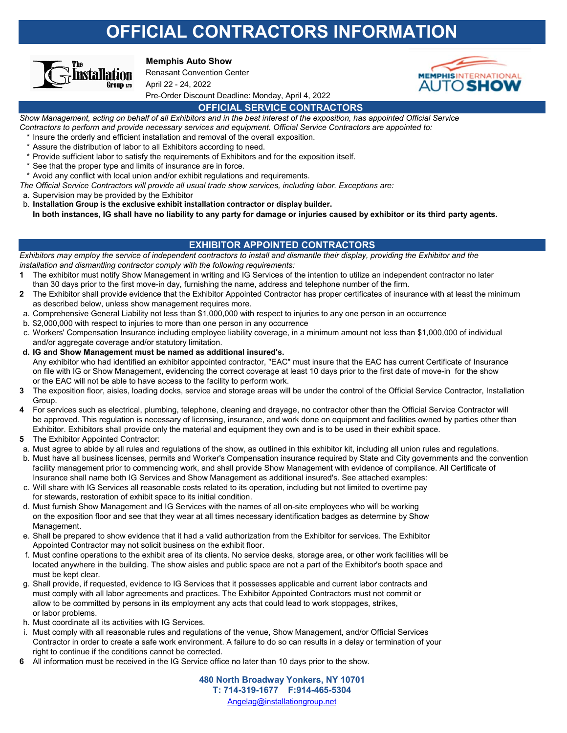# **OFFICIAL CONTRACTORS INFORMATION**



### **Memphis Auto Show**

Renasant Convention Center April 22 - 24, 2022 Pre-Order Discount Deadline: Monday, April 4, 2022



## **OFFICIAL SERVICE CONTRACTORS**

*Show Management, acting on behalf of all Exhibitors and in the best interest of the exposition, has appointed Official Service Contractors to perform and provide necessary services and equipment. Official Service Contractors are appointed to:* 

- Insure the orderly and efficient installation and removal of the overall exposition.
- \* Assure the distribution of labor to all Exhibitors according to need.
- Provide sufficient labor to satisfy the requirements of Exhibitors and for the exposition itself.
- See that the proper type and limits of insurance are in force.
- \* Avoid any conflict with local union and/or exhibit regulations and requirements.
- *The Official Service Contractors will provide all usual trade show services, including labor. Exceptions are:*

a. Supervision may be provided by the Exhibitor

b. **Installation Group is the exclusive exhibit installation contractor or display builder.**

**In both instances, IG shall have no liability to any party for damage or injuries caused by exhibitor or its third party agents.**

## **EXHIBITOR APPOINTED CONTRACTORS**

*Exhibitors may employ the service of independent contractors to install and dismantle their display, providing the Exhibitor and the installation and dismantling contractor comply with the following requirements:*

- **1** The exhibitor must notify Show Management in writing and IG Services of the intention to utilize an independent contractor no later than 30 days prior to the first move-in day, furnishing the name, address and telephone number of the firm.
- **2** The Exhibitor shall provide evidence that the Exhibitor Appointed Contractor has proper certificates of insurance with at least the minimum as described below, unless show management requires more.
- a. Comprehensive General Liability not less than \$1,000,000 with respect to injuries to any one person in an occurrence
- b. \$2,000,000 with respect to injuries to more than one person in any occurrence
- c. Workers' Compensation Insurance including employee liability coverage, in a minimum amount not less than \$1,000,000 of individual and/or aggregate coverage and/or statutory limitation.
- **d. IG and Show Management must be named as additional insured's.** Any exhibitor who had identified an exhibitor appointed contractor, "EAC" must insure that the EAC has current Certificate of Insurance on file with IG or Show Management, evidencing the correct coverage at least 10 days prior to the first date of move-in for the show or the EAC will not be able to have access to the facility to perform work.
- **3** The exposition floor, aisles, loading docks, service and storage areas will be under the control of the Official Service Contractor, Installation Group.
- **4** For services such as electrical, plumbing, telephone, cleaning and drayage, no contractor other than the Official Service Contractor will be approved. This regulation is necessary of licensing, insurance, and work done on equipment and facilities owned by parties other than Exhibitor. Exhibitors shall provide only the material and equipment they own and is to be used in their exhibit space.
- **5** The Exhibitor Appointed Contractor:
- a. Must agree to abide by all rules and regulations of the show, as outlined in this exhibitor kit, including all union rules and regulations.
- b. Must have all business licenses, permits and Worker's Compensation insurance required by State and City governments and the convention facility management prior to commencing work, and shall provide Show Management with evidence of compliance. All Certificate of Insurance shall name both IG Services and Show Management as additional insured's. See attached examples:
- c. Will share with IG Services all reasonable costs related to its operation, including but not limited to overtime pay for stewards, restoration of exhibit space to its initial condition.
- d. Must furnish Show Management and IG Services with the names of all on-site employees who will be working on the exposition floor and see that they wear at all times necessary identification badges as determine by Show Management.
- e. Shall be prepared to show evidence that it had a valid authorization from the Exhibitor for services. The Exhibitor Appointed Contractor may not solicit business on the exhibit floor.
- f. Must confine operations to the exhibit area of its clients. No service desks, storage area, or other work facilities will be located anywhere in the building. The show aisles and public space are not a part of the Exhibitor's booth space and must be kept clear.
- g. Shall provide, if requested, evidence to IG Services that it possesses applicable and current labor contracts and must comply with all labor agreements and practices. The Exhibitor Appointed Contractors must not commit or allow to be committed by persons in its employment any acts that could lead to work stoppages, strikes, or labor problems.
- h. Must coordinate all its activities with IG Services.
- i. Must comply with all reasonable rules and regulations of the venue, Show Management, and/or Official Services Contractor in order to create a safe work environment. A failure to do so can results in a delay or termination of your right to continue if the conditions cannot be corrected.
- **6** All information must be received in the IG Service office no later than 10 days prior to the show.

Angelag@installationgroup.net **480 North Broadway Yonkers, NY 10701 T: 714-319-1677 F:914-465-5304**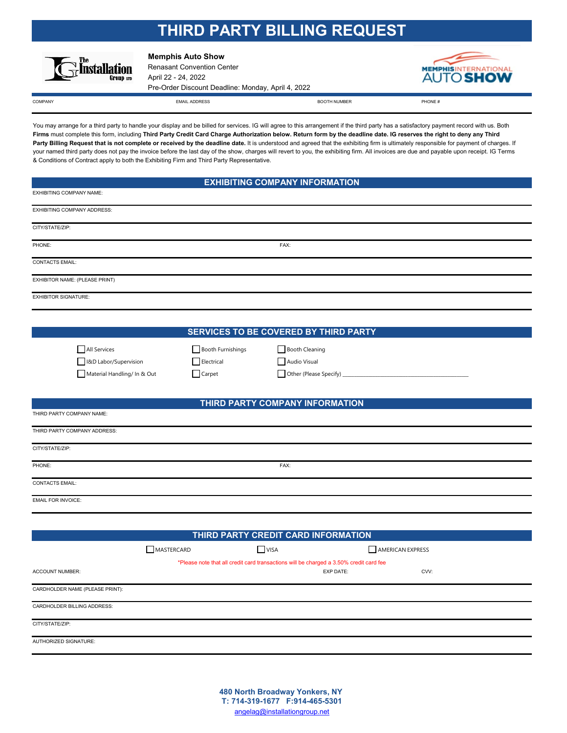## **THIRD PARTY BILLING REQUEST**



**Memphis Auto Show**

Renasant Convention Center April 22 - 24, 2022 Pre-Order Discount Deadline: Monday, April 4, 2022



COMPANY COMPRISE THE STATE OF THE SERVER WAS COMPANY FOR THE SERVER THAT AND RELATION OF THE SERVER THAT A PHONE  $\#$ 

EXHIBITING COMPANY NAME:

THIRD PARTY COMPANY NAME:

You may arrange for a third party to handle your display and be billed for services. IG will agree to this arrangement if the third party has a satisfactory payment record with us. Both **Firms** must complete this form, including **Third Party Credit Card Charge Authorization below. Return form by the deadline date. IG reserves the right to deny any Third**  Party Billing Request that is not complete or received by the deadline date. It is understood and agreed that the exhibiting firm is ultimately responsible for payment of charges. If your named third party does not pay the invoice before the last day of the show, charges will revert to you, the exhibiting firm. All invoices are due and payable upon receipt. IG Terms & Conditions of Contract apply to both the Exhibiting Firm and Third Party Representative.

EMAIL ADDRESS BOOTH NUMBER

## **EXHIBITING COMPANY INFORMATION**

| <b>LATION INTO CONTRAT IN AIRIL.</b> |      |  |
|--------------------------------------|------|--|
| EXHIBITING COMPANY ADDRESS:          |      |  |
| CITY/STATE/ZIP:                      |      |  |
| PHONE:                               | FAX: |  |
| <b>CONTACTS EMAIL:</b>               |      |  |
| EXHIBITOR NAME: (PLEASE PRINT)       |      |  |
| <b>EXHIBITOR SIGNATURE:</b>          |      |  |

## **SERVICES TO BE COVERED BY THIRD PARTY**

Booth Cleaning

| All Services                |  |
|-----------------------------|--|
| I&D Labor/Supervision       |  |
| Material Handling/ In & Out |  |

| Booth Furnishings |  |
|-------------------|--|
| Electrical        |  |
| Carpet            |  |

| Audio Visual |  |  |  |  |
|--------------|--|--|--|--|
|              |  |  |  |  |

 $\Box$  Other (Please Specify)

## **THIRD PARTY COMPANY INFORMATION**

| THIRD PARTY COMPANY ADDRESS: |      |
|------------------------------|------|
| CITY/STATE/ZIP:              |      |
| PHONE:                       | FAX: |
| <b>CONTACTS EMAIL:</b>       |      |
| <b>EMAIL FOR INVOICE:</b>    |      |

| THIRD PARTY CREDIT CARD INFORMATION |            |                                                                                        |                  |  |
|-------------------------------------|------------|----------------------------------------------------------------------------------------|------------------|--|
|                                     | MASTERCARD | $\Box$ VISA                                                                            | AMERICAN EXPRESS |  |
|                                     |            | *Please note that all credit card transactions will be charged a 3.50% credit card fee |                  |  |
| <b>ACCOUNT NUMBER:</b>              |            | <b>EXP DATE:</b>                                                                       | CVV:             |  |
| CARDHOLDER NAME (PLEASE PRINT):     |            |                                                                                        |                  |  |
| CARDHOLDER BILLING ADDRESS:         |            |                                                                                        |                  |  |
| CITY/STATE/ZIP:                     |            |                                                                                        |                  |  |
| AUTHORIZED SIGNATURE:               |            |                                                                                        |                  |  |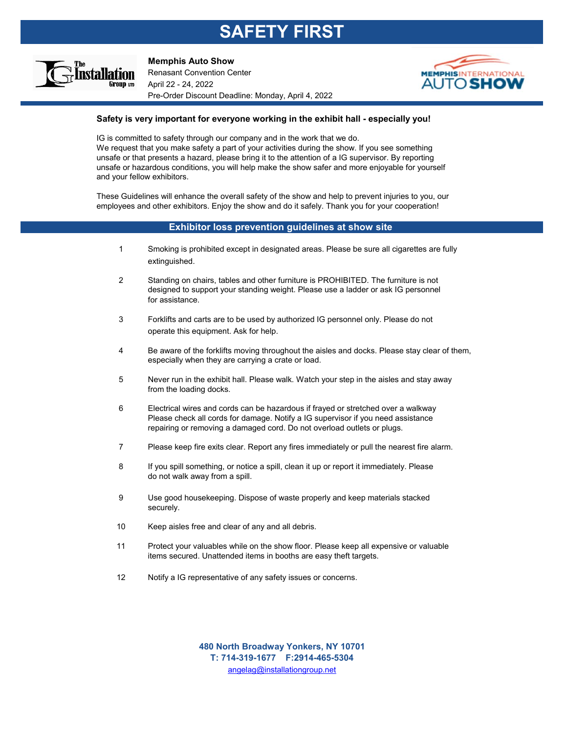# **SAFETY FIRST**



**Memphis Auto Show**

Renasant Convention Center April 22 - 24, 2022 Pre-Order Discount Deadline: Monday, April 4, 2022



## **Safety is very important for everyone working in the exhibit hall - especially you!**

IG is committed to safety through our company and in the work that we do. We request that you make safety a part of your activities during the show. If you see something unsafe or that presents a hazard, please bring it to the attention of a IG supervisor. By reporting unsafe or hazardous conditions, you will help make the show safer and more enjoyable for yourself and your fellow exhibitors.

These Guidelines will enhance the overall safety of the show and help to prevent injuries to you, our employees and other exhibitors. Enjoy the show and do it safely. Thank you for your cooperation!

### **Exhibitor loss prevention guidelines at show site**

- 1 Smoking is prohibited except in designated areas. Please be sure all cigarettes are fully extinguished.
- 2 Standing on chairs, tables and other furniture is PROHIBITED. The furniture is not designed to support your standing weight. Please use a ladder or ask IG personnel for assistance.
- 3 Forklifts and carts are to be used by authorized IG personnel only. Please do not operate this equipment. Ask for help.
- 4 Be aware of the forklifts moving throughout the aisles and docks. Please stay clear of them, especially when they are carrying a crate or load.
- 5 Never run in the exhibit hall. Please walk. Watch your step in the aisles and stay away from the loading docks.
- 6 Electrical wires and cords can be hazardous if frayed or stretched over a walkway Please check all cords for damage. Notify a IG supervisor if you need assistance repairing or removing a damaged cord. Do not overload outlets or plugs.
- 7 Please keep fire exits clear. Report any fires immediately or pull the nearest fire alarm.
- 8 If you spill something, or notice a spill, clean it up or report it immediately. Please do not walk away from a spill.
- 9 Use good housekeeping. Dispose of waste properly and keep materials stacked securely.
- 10 Keep aisles free and clear of any and all debris.
- 11 Protect your valuables while on the show floor. Please keep all expensive or valuable items secured. Unattended items in booths are easy theft targets.
- 12 Notify a IG representative of any safety issues or concerns.

angelag@installationgroup.net **480 North Broadway Yonkers, NY 10701 T: 714-319-1677 F:2914-465-5304**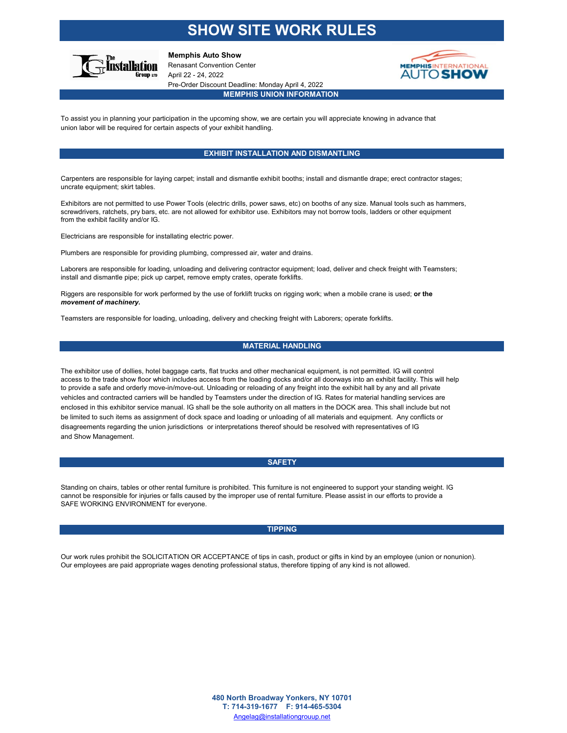## **SHOW SITE WORK RULES**



**Memphis Auto Show** Renasant Convention Center

April 22 - 24, 2022 Pre-Order Discount Deadline: Monday April 4, 2022



### **MEMPHIS UNION INFORMATION**

To assist you in planning your participation in the upcoming show, we are certain you will appreciate knowing in advance that union labor will be required for certain aspects of your exhibit handling.

### **EXHIBIT INSTALLATION AND DISMANTLING**

Carpenters are responsible for laying carpet; install and dismantle exhibit booths; install and dismantle drape; erect contractor stages; uncrate equipment; skirt tables.

Exhibitors are not permitted to use Power Tools (electric drills, power saws, etc) on booths of any size. Manual tools such as hammers, screwdrivers, ratchets, pry bars, etc. are not allowed for exhibitor use. Exhibitors may not borrow tools, ladders or other equipment from the exhibit facility and/or IG.

Electricians are responsible for installating electric power.

Plumbers are responsible for providing plumbing, compressed air, water and drains.

Laborers are responsible for loading, unloading and delivering contractor equipment; load, deliver and check freight with Teamsters; install and dismantle pipe; pick up carpet, remove empty crates, operate forklifts.

Riggers are responsible for work performed by the use of forklift trucks on rigging work; when a mobile crane is used; **or the**  *movement of machinery.* 

Teamsters are responsible for loading, unloading, delivery and checking freight with Laborers; operate forklifts.

### **MATERIAL HANDLING**

The exhibitor use of dollies, hotel baggage carts, flat trucks and other mechanical equipment, is not permitted. IG will control access to the trade show floor which includes access from the loading docks and/or all doorways into an exhibit facility. This will help to provide a safe and orderly move-in/move-out. Unloading or reloading of any freight into the exhibit hall by any and all private vehicles and contracted carriers will be handled by Teamsters under the direction of IG. Rates for material handling services are enclosed in this exhibitor service manual. IG shall be the sole authority on all matters in the DOCK area. This shall include but not be limited to such items as assignment of dock space and loading or unloading of all materials and equipment. Any conflicts or disagreements regarding the union jurisdictions or interpretations thereof should be resolved with representatives of IG and Show Management.

### **SAFETY**

Standing on chairs, tables or other rental furniture is prohibited. This furniture is not engineered to support your standing weight. IG cannot be responsible for injuries or falls caused by the improper use of rental furniture. Please assist in our efforts to provide a SAFE WORKING ENVIRONMENT for everyone.

### **TIPPING**

Our work rules prohibit the SOLICITATION OR ACCEPTANCE of tips in cash, product or gifts in kind by an employee (union or nonunion). Our employees are paid appropriate wages denoting professional status, therefore tipping of any kind is not allowed.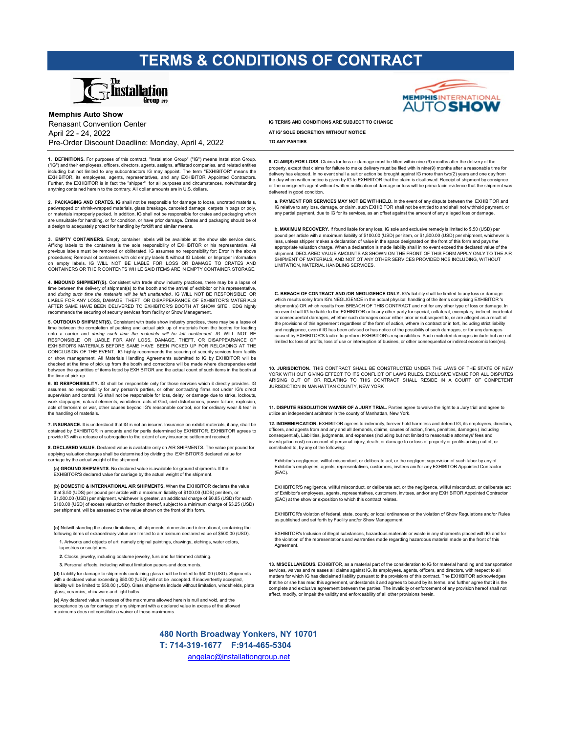## **TERMS & CONDITIONS OF CONTRACT**



**Memphis Auto Show** Renasant Convention Center April 22 - 24, 2022 Pre-Order Discount Deadline: Monday, April 4, 2022

**1. DEFINITIONS.** For purposes of this contract, "Installation Group" ("IG") means Installation Group. ("IG") and their employees, officers, directors, agents, assigns, affiliated companies, and related entities including but not limited to any subcontractors IG may appoint. The term "EXHIBITOR" means the EXHIBITOR, its employees, agents, representatives, and any EXHIBITOR Appointed Contractors. Further, the EXHIBITOR is in fact the "shipper" for all purposes and circumstances, notwithstanding anything contained herein to the contrary. All dollar amounts are in U.S. dollars.

**2. PACKAGING AND CRATES. IG** shall not be responsible for damage to loose, uncrated materials, padwrapped or shrink-wrapped materials, glass breakage, canceled damage, carpets in bags or poly, or materials improperly packed. In addition, IG shall not be responsible for crates and packaging which are unsuitable for handling, or for condition, or have prior damage. Crates and packaging should be of a design to adequately protect for handling by forklift and similar means.

**EMPTY CONTAINERS.** Empty container labels will be available at the show site service desk Affixing labels to the containers is the sole responsibility of EXHIBITOR or his representative. All previous labels must be removed or obliterated. IG assumes no responsibility for: Error in the above procedures; Removal of containers with old empty labels & without IG Labels; or Improper information on empty labels. IG WILL NOT BE LIABLE FOR LOSS OR DAMAGE TO CRATES AND CONTAINERS OR THEIR CONTENTS WHILE SAID ITEMS ARE IN EMPTY CONTAINER STORAGE.

**4. INBOUND SHIPMENT(S).** Consistent with trade show industry practices, there may be a lapse of time between the delivery of shipment(s) to the booth and the arrival of exhibitor or his representative, and *during such time the materials will be left unattended* . IG WILL NOT BE RESPONSIBLE OR LIABLE FOR ANY LOSS, DAMAGE, THEFT, OR DISAPPEARANCE OF EXHIBITOR'S MATERIALS AFTER SAME HAVE BEEN DELIVERED TO EXHIBITOR'S BOOTH AT SHOW SITE . EDG highly mends the securing of security services from facility or Show Manag

**5. OUTBOUND SHIPMENT(S).** Consistent with trade show industry practices, there may be a lapse of time between the completion of packing and actual pick up of materials from the booths for loading onto a carrier and *during such time the materials will be left unattended. IG WILL NOT BE*<br>RESPONSIBLE OR LIABLE FOR ANY LOSS, DAMAGE, THEFT, OR DISAPPEARANCE OF EXHIBITOR'S MATERIALS BEFORE SAME HAVE BEEN PICKED UP FOR RELOADING AT THE CONCLUSION OF THE EVENT. IG highly recommends the securing of security services from facility or show management. All Materials Handling Agreements submitted to IG by EXHIBITOR will be checked at the time of pick up from the booth and corrections will be made where discrepancies exist between the quantities of items listed by EXHIBITOR and the actual count of such items in the booth at the time of pick up.

6. IG RESPONSIBILITY. IG shall be responsible only for those services which it directly provides. IG assumes no responsibility for any person's parties, or other contracting firms not under IG's direct supervision and control. IG shall not be responsible for loss, delay, or damage due to strike, lockouts, work stoppages, natural elements, vandalism, acts of God, civil disturbances, power failure, explosion,<br>acts of terrorism or war, other causes beyond IG's reasonable control, nor for ordinary wear & tear in<br>the handling of

**7. INSURANCE.** It is understood that IG is not an insurer. Insurance on exhibit materials, if any, shall be obtained by EXHIBITOR in amounts and for perils determined by EXHIBITOR. EXHIBITOR agrees to provide IG with a release of subrogation to the extent of any insurance settlement received.

8. DECLARED VALUE. Declared value is available only on AIR SHIPMENTS. The value per pound for applying valuation charges shall be determined by dividing the EXHIBITOR'S declared value for carriage by the actual weight of the shipment.

**(a) GROUND SHIPMENTS**. No declared value is available for ground shipments. If the HIBITOR'S declared value for carriage by the actual weight of the shipment.

**(b) DOMESTIC & INTERNATIONAL AIR SHIPMENTS.** When the EXHIBITOR declares the value that \$.50 (UDS) per pound per article with a maximum liability of \$100.00 (UDS) per item, or \$1,500.00 (USD) per shipment, whichever is greater, an additional charge of \$0.85 (USD) for each \$100.00 (USD) of excess valuation or fraction thereof, subject to a minimum charge of \$3.25 (USD) per shipment, will be assessed on the value shown on the front of this form.

**(c)** Notwithstanding the above limitations, all shipments, domestic and international, containing the

- **1.** Artworks and objects of art, namely original paintings, drawings, etchings, water colors, tapestries or sculptures.
- **2.** Clocks, jewelry, including costume jewelry, furs and fur trimmed clothing.
- **3.** Personal effects, including without limitation papers and documents.

**(d)** Liability for damage to shipments containing glass shall be limited to \$50.00 (USD). Shipments with a declared value exceeding \$50.00 (USD) will not be accepted. If inadvertently accepted, liability will be limited to \$50.00 (USD). Glass shipments include without limitation, windshields, plate glass, ceramics, chinaware and light bulbs.

**(e)** Any declared value in excess of the maximums allowed herein is null and void, and the acceptance by us for carriage of any shipment with a declared value in excess of the allowed maximums does not constitute a waiver of these maximums.



**IG TERMS AND CONDITIONS ARE SUBJECT TO CHANGE AT IG' SOLE DISCRETION WITHOUT NOTICE**

**TO ANY PARTIES**

**9. CLAIM(S) FOR LOSS.** Claims for loss or damage must be filled within nine (9) months after the delivery of the property, except that claims for failure to make delivery must be filed with in nine(9) months after a reasonable time for<br>delivery has elapsed. In no event shall a suit or action be brought against IG more than two(2) yea the day when written notice is given by IG to EXHIBITOR that the claim is disallowed. Receipt of shipment by consignee<br>or the consignee's agent with out written notification of damage or loss will be prima facie evidence t delivered in good condition.

**a. PAYMENT FOR SERVICES MAY NOT BE WITHHELD.** In the event of any dispute between the EXHIBITOR and IG relative to any loss, damage, or claim, such EXHIBITOR shall not be entitled to and shall not withhold payment, or any partial payment, due to IG for its services, as an offset against the amount of any alleged loss or damage.

**b. MAXIMUM RECOVERY.** If found liable for any loss, IG sole and exclusive remedy is limited to \$.50 (USD) per pound per article with a maximum liability of \$100.00 (USD) per item, or \$1,500.00 (USD) per shipment, whichever is<br>less, unless shipper makes a declaration of value in the space designated on the front of this form and pa shipment. DECLARED VALUE AMOUNTS AS SHOWN ON THE FRONT OF THIS FORM APPLY ONLY TO THE AIR<br>SHIPMENT OF MATERIALS, AND NOT OT ANY OTHER SERVICES PROVIDED NCS INCLUDING, WITHOUT LIMITATION, MATERIAL HANDLING SERVICES.

**C. BREACH OF CONTRACT AND /OR NEGLIGENCE ONLY.** IG**'s** liability shall be limited to any loss or damage which results soley from IG's NEGLIGENCE in the actual physical handling of the items comprising EXHIBITOR 's<br>shipment(s) OR which results from BREACH OF THIS CONTRACT and not for any other type of loss or damage. In no event shall IG be liable to the EXHIBITOR or to any other party for special, collateral, exemplary, indirect, incidental<br>or consequential damages, whether such damages occur either prior or subsequent to, or are alleged the provisions of this agreement regardless of the form of action, wthere in contract or in tort, including strict liability<br>and negligance, even if IG has been advised or has notice of the possibility of such damages, or caused by EXHIBITOR'S faulire to perform EXHIBITOR's responsibilities. Such excluded damages include but are not limited to: loss of profits, loss of use or intereuption of busines, or other consequential or indirect economic loss(es).

**10. JURISDICTION.** THIS CONTRACT SHALL BE CONSTRUCTED UNDER THE LAWS OF THE STATE OF NEW YORK WITH OUT GIVING EFFECT TO ITS CONFLICT OF LAWS RULES. EXCLUSIVE VENUE FOR ALL DISPUTES ARISING OUT OF OR RELATING TO THIS CONTRACT SHALL RESIDE IN A COURT OF COMPETENT JURISDICTION IN MANHATTAN COUNTY NEW YORK

**11. DISPUTE RESOLUTION WAIVER OF A JURY TRIAL.** Parties agree to waive the right to a Jury trial and agree to utilize an independent arbitrator in the county of Manhattan, New York.

**12. INDEMNIFICATION.** EXHIBITOR agrees to indemnify, forever hold harmless and defend IG, its employees, directors, officers, and agents from and any and all demands, claims, causes of action, fines, penalties, damages ( including<br>consequential), Liabilities, judgments, and expenses (including but not limited to reasonable attorneys' fe investigation cost) on account of personal injury, death, or damage to or loss of property or profits arising out of, or

Exhibitor's negligence, willful misconduct, or deliberate act, or the negligent supervision of such labor by any of Exhibitor's employees, agents, representatives, customers, invitees and/or any EXHIBITOR Appointed Contractor  $(FAC)$ 

EXHIBITOR'S negligence, willful misconduct, or deliberate act, or the negligence, willful misconduct, or deliberate act of Exhibitor's employees, agents, representatives, customers, invitees, and/or any EXHIBITOR Appointed Contractor (EAC) at the show or exposition to which this contract relates.

EXHIBITOR's violation of federal, state, county, or local ordinances or the violation of Show Regulations and/or Rules as published and set forth by Facility and/or Show Management.

EXHIBITOR's Inclusion of illegal substances, hazardous materials or waste in any shipments placed with IG and for the violation of the representations and warranties made regarding hazardous material made on the front of this Agreement.

**13. MISCELLANEOUS.** EXHIBITOR, as a material part of the consideration to IG for material handling and transportation services, waives and releases all claims against IG, its employees, agents, officers, and directors, with respect to all<br>matters for which IG has disclaimed liability pursuant to the provisions of this contract. The EXHIBI complete and exclusive agreement between the parties. The invalidity or enforcement of any provision hereof shall not affect, modify, or impair the validity and enforceability of all other provisions herein.

angelac@installationgroup.net **480 North Broadway Yonkers, NY 10701 T: 714-319-1677 F:914-465-5304**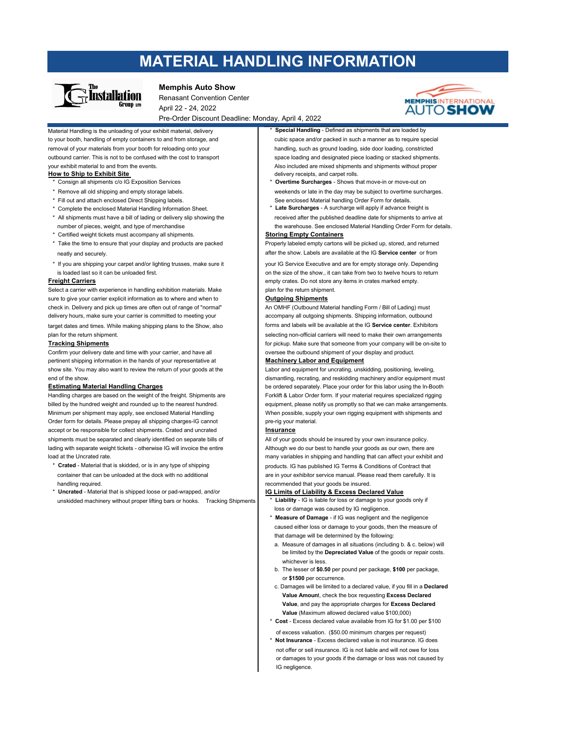## **MATERIAL HANDLING INFORMATION**



### **Memphis Auto Show**

Renasant Convention Center April 22 - 24, 2022 Pre-Order Discount Deadline: Monday, April 4, 2022



Material Handling is the unloading of your exhibit material, delivery **\* Special Handling** - Defined as shipments that are loaded by to your booth, handling of empty containers to and from storage, and cubic space and/or packed in such a manner as to require special removal of your materials from your booth for reloading onto your handling, such as ground loading, side door loading, constricted outbound carrier. This is not to be confused with the cost to transport space loading and designated piece loading or stacked shipments. your exhibit material to and from the events. Also included are mixed shipments and shipments without proper

- **How to Ship to Exhibit Site**<br>
\* Consign all shipments c/o IG Exposition Services<br>
\* **Overtime Surcharges** Shows the structure of the Surcharges Shows the Surcharges Shows the Surcharges Shows the Surcharges Show
	-
- \* Fill out and attach enclosed Direct Shipping labels. See enclosed Material handling Order Form for details.
- \* All shipments must have a bill of lading or delivery slip showing the received after the published deadline date for shipments to arrive at
- \* Certified weight tickets must accompany all shipments. **Storing Empty Containers**
- \* Take the time to ensure that your display and products are packed Properly labeled empty cartons will be picked up, stored, and returned
- \* If you are shipping your carpet and/or lighting trusses, make sure it your IG Service Executive and are for empty storage only. Depending

Select a carrier with experience in handling exhibition materials. Make plan for the return shipment. sure to give your carrier explicit information as to where and when to **Outgoing Shipments** check in. Delivery and pick up times are often out of range of "normal" An OMHF (Outbound Material handling Form / Bill of Lading) must delivery hours, make sure your carrier is committed to meeting your accompany all outgoing shipments. Shipping information, outbound

Confirm your delivery date and time with your carrier, and have all oversee the outbound shipment of your display and product. pertinent shipping information in the hands of your representative at **Machinery Labor and Equipment** show site. You may also want to review the return of your goods at the Labor and equipment for uncrating, unskidding, positioning, leveling,

Minimum per shipment may apply, see enclosed Material Handling When possible, supply your own rigging equipment with shipments and Order form for details. Please prepay all shipping charges-IG cannot pre-rig your material. accept or be responsible for collect shipments. Crated and uncrated **Insurance** shipments must be separated and clearly identified on separate bills of All of your goods should be insured by your own insurance policy. lading with separate weight tickets - otherwise IG will invoice the entire **Although we do our best to handle your goods as our own**, there are

- handling required. The commended that your goods be insured
- \* **Uncrated** Material that is shipped loose or pad-wrapped, and/or **IG Limits of Liability & Excess Declared Value** unskidded machinery without proper lifting bars or hooks. Tracking Shipments \* **Liability** - IG is liable for loss or damage to your goods only if
- 
- Overtime Surcharges Shows that move-in or move-out on \* Remove all old shipping and empty storage labels. weekends or late in the day may be subject to overtime surcharges.
- \* Complete the enclosed Material Handling Information Sheet. \* **Late Surcharges** A surcharge will apply if advance freight is
- number of pieces, weight, and type of merchandise the warehouse. See enclosed Material Handling Order Form for details.

neatly and securely. **after the show. Labels are available at the IG Service center** or from

is loaded last so it can be unloaded first.  $\Box$ **Freight Carriers** empty crates. Do not store any items in crates marked empty.

target dates and times. While making shipping plans to the Show, also **forms and labels will be available at the IG Service center**. Exhibitors plan for the return shipment. selecting non-official carriers will need to make their own arrangements **Tracking Shipments for pickup. Make sure that someone from your company will be on-site to for pickup.** Make sure that someone from your company will be on-site to

end of the show. The show and the show. The show is contained to the show and reskidding machinery and/or equipment must **Estimating Material Handling Charges be ordered separately. Place your order for this labor using the In-Booth** Handling charges are based on the weight of the freight. Shipments are Forklift & Labor Order form. If your material requires specialized rigging billed by the hundred weight and rounded up to the nearest hundred. equipment, please notify us promptly so that we can make arrangements.

load at the Uncrated rate. The uncrated rate of the uncreased in shipping and handling that can affect your exhibit and \* **Crated** - Material that is skidded, or is in any type of shipping products. IG has published IG Terms & Conditions of Contract that container that can be unloaded at the dock with no additional and are in your exhibitor service manual. Please read them carefully. It is

- loss or damage was caused by IG negligence.
- \* **Measure of Damage**  if IG was negligent and the negligence caused either loss or damage to your goods, then the measure of that damage will be determined by the following:
- a. Measure of damages in all situations (including b. & c. below) will be limited by the **Depreciated Value** of the goods or repair costs. whichever is less.
- b. The lesser of **\$0.50** per pound per package, **\$100** per package, or **\$1500** per occurrence.
- c. Damages will be limited to a declared value, if you fill in a **Declared Value Amoun**t, check the box requesting **Excess Declared Value**, and pay the appropriate charges for **Excess Declared Value** (Maximum allowed declared value \$100,000)
- **Cost** Excess declared value available from IG for \$1.00 per \$100
- of excess valuation. (\$50.00 minimum charges per request) **Not Insurance - Excess declared value is not insurance. IG does**  not offer or sell insurance. IG is not liable and will not owe for loss or damages to your goods if the damage or loss was not caused by IG negligence.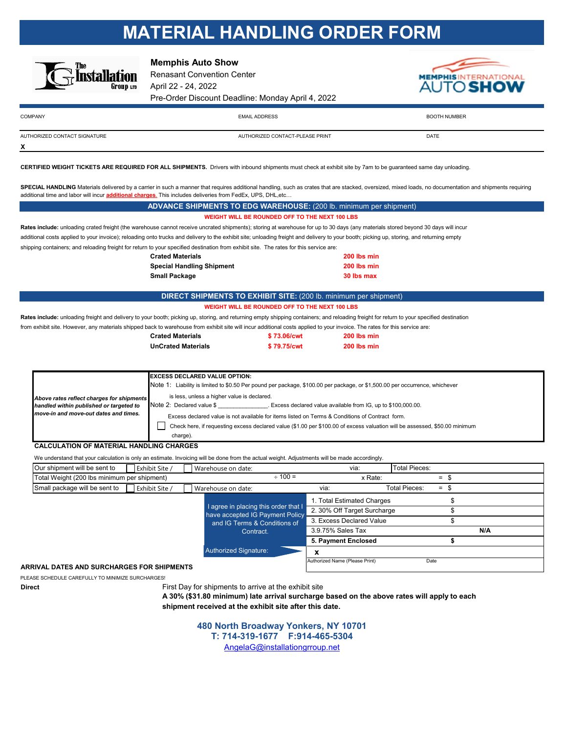# **MATERIAL HANDLING ORDER FORM**



**X**

**Memphis Auto Show**

Renasant Convention Center April 22 - 24, 2022 Pre-Order Discount Deadline: Monday April 4, 2022



| <b>COMPANY</b>               | <b>EMAIL ADDRESS</b>            | <b>INUMBER</b> |
|------------------------------|---------------------------------|----------------|
| AUTHORIZED CONTACT SIGNATURE | AUTHORIZED CONTACT-PLEASE PRINT | DATE           |

**CERTIFIED WEIGHT TICKETS ARE REQUIRED FOR ALL SHIPMENTS.** Drivers with inbound shipments must check at exhibit site by 7am to be guaranteed same day unloading.

SPECIAL HANDLING Materials delivered by a carrier in such a manner that requires additional handling, such as crates that are stacked, oversized, mixed loads, no documentation and shipments requiring additional time and labor will incur **additional charges**. This includes deliveries from FedEx, UPS, DHL,etc…

|                                                                                                                                                                            | <b>ADVANCE SHIPMENTS TO EDG WAREHOUSE:</b> (200 lb. minimum per shipment)                                                  |                                                |                                                                                                                                                                                           |  |  |
|----------------------------------------------------------------------------------------------------------------------------------------------------------------------------|----------------------------------------------------------------------------------------------------------------------------|------------------------------------------------|-------------------------------------------------------------------------------------------------------------------------------------------------------------------------------------------|--|--|
|                                                                                                                                                                            |                                                                                                                            | WEIGHT WILL BE ROUNDED OFF TO THE NEXT 100 LBS |                                                                                                                                                                                           |  |  |
|                                                                                                                                                                            |                                                                                                                            |                                                | Rates include: unloading crated freight (the warehouse cannot receive uncrated shipments); storing at warehouse for up to 30 days (any materials stored beyond 30 days will incur         |  |  |
|                                                                                                                                                                            |                                                                                                                            |                                                | additional costs applied to your invoice); reloading onto trucks and delivery to the exhibit site; unloading freight and delivery to your booth; picking up, storing, and returning empty |  |  |
| shipping containers; and reloading freight for return to your specified destination from exhibit site. The rates for this service are:                                     |                                                                                                                            |                                                |                                                                                                                                                                                           |  |  |
|                                                                                                                                                                            | <b>Crated Materials</b>                                                                                                    |                                                | 200 lbs min                                                                                                                                                                               |  |  |
|                                                                                                                                                                            | <b>Special Handling Shipment</b>                                                                                           |                                                | 200 lbs min                                                                                                                                                                               |  |  |
|                                                                                                                                                                            | <b>Small Package</b>                                                                                                       |                                                | 30 lbs max                                                                                                                                                                                |  |  |
|                                                                                                                                                                            |                                                                                                                            |                                                |                                                                                                                                                                                           |  |  |
|                                                                                                                                                                            | <b>DIRECT SHIPMENTS TO EXHIBIT SITE:</b> (200 lb. minimum per shipment)                                                    |                                                |                                                                                                                                                                                           |  |  |
|                                                                                                                                                                            |                                                                                                                            | WEIGHT WILL BE ROUNDED OFF TO THE NEXT 100 LBS |                                                                                                                                                                                           |  |  |
|                                                                                                                                                                            |                                                                                                                            |                                                | Rates include: unloading freight and delivery to your booth; picking up, storing, and returning empty shipping containers; and reloading freight for return to your specified destination |  |  |
| from exhibit site. However, any materials shipped back to warehouse from exhibit site will incur additional costs applied to your invoice. The rates for this service are: |                                                                                                                            |                                                |                                                                                                                                                                                           |  |  |
|                                                                                                                                                                            | <b>Crated Materials</b>                                                                                                    | \$73.06/cwt                                    | 200 lbs min                                                                                                                                                                               |  |  |
|                                                                                                                                                                            | <b>UnCrated Materials</b>                                                                                                  | \$79.75/cwt                                    | 200 lbs min                                                                                                                                                                               |  |  |
|                                                                                                                                                                            |                                                                                                                            |                                                |                                                                                                                                                                                           |  |  |
|                                                                                                                                                                            |                                                                                                                            |                                                |                                                                                                                                                                                           |  |  |
|                                                                                                                                                                            | <b>EXCESS DECLARED VALUE OPTION:</b>                                                                                       |                                                |                                                                                                                                                                                           |  |  |
|                                                                                                                                                                            |                                                                                                                            |                                                | Note 1: Liability is limited to \$0.50 Per pound per package, \$100.00 per package, or \$1,500.00 per occurrence, whichever                                                               |  |  |
| Above rates reflect charges for shipments                                                                                                                                  | is less, unless a higher value is declared.                                                                                |                                                |                                                                                                                                                                                           |  |  |
| handled within published or targeted to                                                                                                                                    | Note 2: Declared value \$ Excess declared value available from IG, up to \$100,000.00.                                     |                                                |                                                                                                                                                                                           |  |  |
| move-in and move-out dates and times.                                                                                                                                      | Excess declared value is not available for items listed on Terms & Conditions of Contract form.                            |                                                |                                                                                                                                                                                           |  |  |
|                                                                                                                                                                            | Check here, if requesting excess declared value (\$1.00 per \$100.00 of excess valuation will be assessed, \$50.00 minimum |                                                |                                                                                                                                                                                           |  |  |
|                                                                                                                                                                            |                                                                                                                            |                                                |                                                                                                                                                                                           |  |  |
|                                                                                                                                                                            | charge).                                                                                                                   |                                                |                                                                                                                                                                                           |  |  |
| <b>CALCULATION OF MATERIAL HANDLING CHARGES</b>                                                                                                                            |                                                                                                                            |                                                |                                                                                                                                                                                           |  |  |

| Our shipment will be sent to<br>Exhibit Site /  | Warehouse on date:                                                      | via:                           | <b>Total Pieces:</b> |     |     |
|-------------------------------------------------|-------------------------------------------------------------------------|--------------------------------|----------------------|-----|-----|
| Total Weight (200 lbs minimum per shipment)     | $\div$ 100 =                                                            | x Rate:                        |                      | $=$ |     |
| Small package will be sent to<br>Exhibit Site / | Warehouse on date:                                                      | via:                           | <b>Total Pieces:</b> | $=$ |     |
|                                                 |                                                                         | 1. Total Estimated Charges     |                      |     |     |
|                                                 | I agree in placing this order that I<br>have accepted IG Payment Policy | 2. 30% Off Target Surcharge    |                      |     |     |
|                                                 | and IG Terms & Conditions of                                            | 3. Excess Declared Value       |                      |     |     |
|                                                 | Contract.                                                               | 3.9.75% Sales Tax              |                      |     | N/A |
|                                                 |                                                                         | 5. Payment Enclosed            |                      |     |     |
|                                                 | <b>Authorized Signature:</b>                                            |                                |                      |     |     |
| ARRIVAL DATES AND SURCHARGES FOR SHIPMENTS      |                                                                         | Authorized Name (Please Print) | Date                 |     |     |

PLEASE SCHEDULE CAREFULLY TO MINIMIZE SURCHARGES!

**Direct Einest** First Day for shipments to arrive at the exhibit site

**A 30% (\$31.80 minimum) late arrival surcharge based on the above rates will apply to each shipment received at the exhibit site after this date.**

> **480 North Broadway Yonkers, NY 10701 T: 714-319-1677 F:914-465-5304**

AngelaG@installationgrroup.net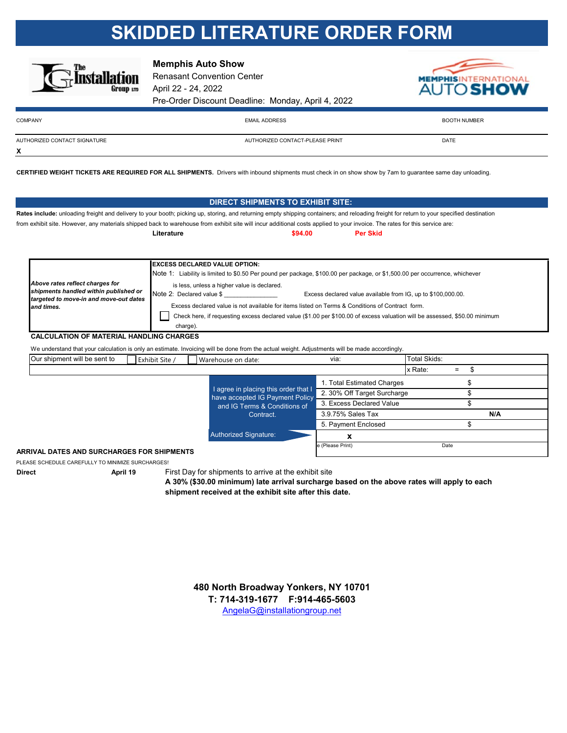# **SKIDDED LITERATURE ORDER FORM**



**Memphis Auto Show**

Renasant Convention Center April 22 - 24, 2022 Pre-Order Discount Deadline: Monday, April 4, 2022



**N/A**

\$

| <b>COMPANY</b> |  |  |
|----------------|--|--|

**X**

COMPANY EMAIL ADDRESS EXAMPLE TO A SECOND A SECOND AND SECOND TO A SECOND A SECOND AND SOLUTION OF SECOND AND SOLUTION OF SECOND AND SOLUTION OF SECOND AND SOLUTION OF SECOND AND SOLUTION OF SECOND AND SOLUTION OF SECOND A

AUTHORIZED CONTACT SIGNATURE AUTHORIZED CONTACT-PLEASE PRINT DATE

**CERTIFIED WEIGHT TICKETS ARE REQUIRED FOR ALL SHIPMENTS.** Drivers with inbound shipments must check in on show show by 7am to guarantee same day unloading.

|                                                                                                                                                                                           |                                             | <b>DIRECT SHIPMENTS TO EXHIBIT SITE:</b>                                                                                    |                             |                      |  |  |
|-------------------------------------------------------------------------------------------------------------------------------------------------------------------------------------------|---------------------------------------------|-----------------------------------------------------------------------------------------------------------------------------|-----------------------------|----------------------|--|--|
| Rates include: unloading freight and delivery to your booth; picking up, storing, and returning empty shipping containers; and reloading freight for return to your specified destination |                                             |                                                                                                                             |                             |                      |  |  |
| from exhibit site. However, any materials shipped back to warehouse from exhibit site will incur additional costs applied to your invoice. The rates for this service are:                |                                             |                                                                                                                             |                             |                      |  |  |
|                                                                                                                                                                                           | Literature                                  | \$94.00                                                                                                                     | <b>Per Skid</b>             |                      |  |  |
|                                                                                                                                                                                           |                                             |                                                                                                                             |                             |                      |  |  |
|                                                                                                                                                                                           | <b>EXCESS DECLARED VALUE OPTION:</b>        |                                                                                                                             |                             |                      |  |  |
|                                                                                                                                                                                           |                                             | Note 1: Liability is limited to \$0.50 Per pound per package, \$100.00 per package, or \$1,500.00 per occurrence, whichever |                             |                      |  |  |
| Above rates reflect charges for                                                                                                                                                           | is less, unless a higher value is declared. |                                                                                                                             |                             |                      |  |  |
| shipments handled within published or<br>Note 2: Declared value \$<br>Excess declared value available from IG, up to \$100,000.00.                                                        |                                             |                                                                                                                             |                             |                      |  |  |
| targeted to move-in and move-out dates<br>and times.                                                                                                                                      |                                             | Excess declared value is not available for items listed on Terms & Conditions of Contract form.                             |                             |                      |  |  |
|                                                                                                                                                                                           |                                             | Check here, if requesting excess declared value (\$1.00 per \$100.00 of excess valuation will be assessed, \$50.00 minimum  |                             |                      |  |  |
|                                                                                                                                                                                           | charge).                                    |                                                                                                                             |                             |                      |  |  |
| <b>CALCULATION OF MATERIAL HANDLING CHARGES</b>                                                                                                                                           |                                             |                                                                                                                             |                             |                      |  |  |
| We understand that your calculation is only an estimate. Invoicing will be done from the actual weight. Adjustments will be made accordingly.                                             |                                             |                                                                                                                             |                             |                      |  |  |
| Our shipment will be sent to                                                                                                                                                              | Exhibit Site /                              | Warehouse on date:                                                                                                          | via:                        | Total Skids:         |  |  |
|                                                                                                                                                                                           |                                             |                                                                                                                             |                             | \$<br>x Rate:<br>$=$ |  |  |
|                                                                                                                                                                                           |                                             |                                                                                                                             | 1. Total Estimated Charges  | \$                   |  |  |
|                                                                                                                                                                                           |                                             | I agree in placing this order that I<br>have accepted IG Payment Policy                                                     | 2. 30% Off Target Surcharge |                      |  |  |
|                                                                                                                                                                                           |                                             |                                                                                                                             |                             |                      |  |  |

**ARRIVAL DATES AND SURCHARGES FOR SHIPMENTS**

PLEASE SCHEDULE CAREFULLY TO MINIMIZE SURCHARGES!

**Direct April 19** First Day for shipments to arrive at the exhibit site

Authorized Signature:

Contract.

**shipment received at the exhibit site after this date. A 30% (\$30.00 minimum) late arrival surcharge based on the above rates will apply to each**

 **x**

 3.9.75% Sales Tax 5. Payment Enclosed

e (Please Print) Date

**T: 714-319-1677 F:914-465-5603** AngelaG@installationgroup.net **480 North Broadway Yonkers, NY 10701**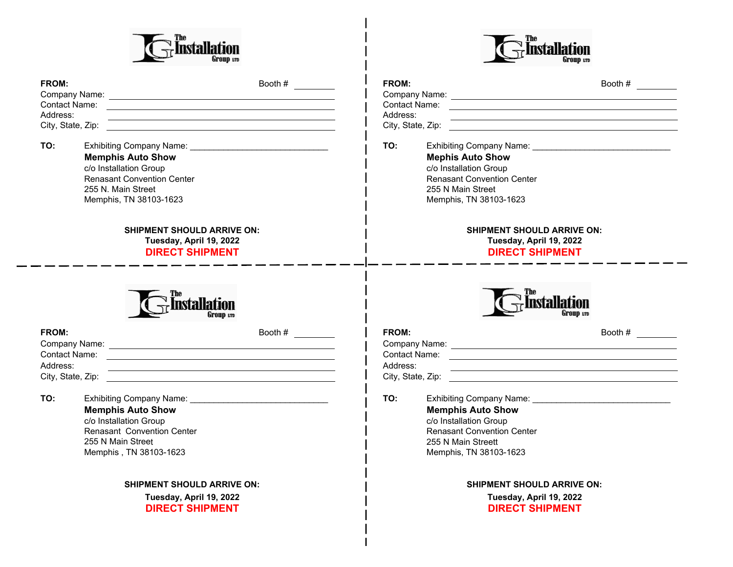



| FROM:<br>Address: | Booth # $\qquad \qquad$                                                                                                                 | FROM:<br>Address:                                                                                                                              | Booth # $\frac{1}{2}$                                                                  |
|-------------------|-----------------------------------------------------------------------------------------------------------------------------------------|------------------------------------------------------------------------------------------------------------------------------------------------|----------------------------------------------------------------------------------------|
| TO:               | <b>Memphis Auto Show</b><br>c/o Installation Group<br><b>Renasant Convention Center</b><br>255 N. Main Street<br>Memphis, TN 38103-1623 | TO:<br><b>Mephis Auto Show</b><br>c/o Installation Group<br><b>Renasant Convention Center</b><br>255 N Main Street<br>Memphis, TN 38103-1623   |                                                                                        |
|                   | <b>SHIPMENT SHOULD ARRIVE ON:</b><br>Tuesday, April 19, 2022<br><b>DIRECT SHIPMENT</b>                                                  |                                                                                                                                                | <b>SHIPMENT SHOULD ARRIVE ON:</b><br>Tuesday, April 19, 2022<br><b>DIRECT SHIPMENT</b> |
|                   | nstallation<br>Group 1:10                                                                                                               |                                                                                                                                                | <b>Installation</b>                                                                    |
| FROM:<br>Address: | Booth #<br><u> 1990 - Jan James James James James James James James James James James James James James James James James J</u>         | FROM:<br>Address:                                                                                                                              | Booth # $\qquad \qquad$<br><u> 1989 - Johann Stoff, amerikansk politiker (d. 1989)</u> |
| TO:               | <b>Memphis Auto Show</b><br>c/o Installation Group<br><b>Renasant Convention Center</b><br>255 N Main Street<br>Memphis, TN 38103-1623  | TO:<br><b>Memphis Auto Show</b><br>c/o Installation Group<br><b>Renasant Convention Center</b><br>255 N Main Streett<br>Memphis, TN 38103-1623 |                                                                                        |
|                   | <b>SHIPMENT SHOULD ARRIVE ON:</b><br>Tuesday, April 19, 2022<br><b>DIRECT SHIPMENT</b>                                                  |                                                                                                                                                | <b>SHIPMENT SHOULD ARRIVE ON:</b><br>Tuesday, April 19, 2022<br><b>DIRECT SHIPMENT</b> |

 $\bar{\mathbf{I}}$  $\overline{1}$ 

H

 $\overline{\phantom{a}}$  $\overline{\phantom{a}}$  $\overline{\phantom{a}}$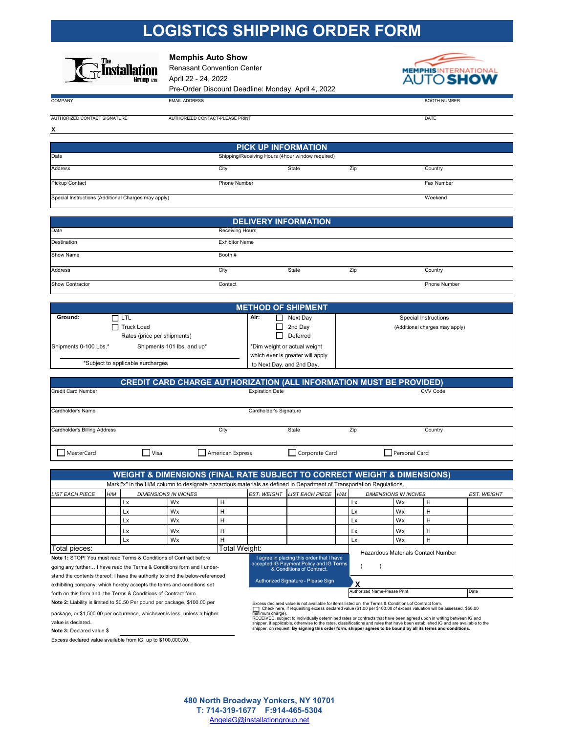## **LOGISTICS SHIPPING ORDER FORM**



**Memphis Auto Show**

Renasant Convention Center April 22 - 24, 2022 Pre-Order Discount Deadline: Monday, April 4, 2022



COMPANY EMAIL ADDRESS BOOTH NUMBER

**X**

AUTHORIZED CONTACT SIGNATURE

| <b><i>FACT-PLEASE PRINT</i></b><br>דוחר<br>AU HU<br>$\sqrt{2}$ | ----<br>DА<br>. |
|----------------------------------------------------------------|-----------------|

| <b>PICK UP INFORMATION</b>                          |                                                  |       |     |            |
|-----------------------------------------------------|--------------------------------------------------|-------|-----|------------|
| Date                                                | Shipping/Receiving Hours (4hour window required) |       |     |            |
| <b>Address</b>                                      | City                                             | State | Zip | Country    |
| <b>Pickup Contact</b>                               | <b>Phone Number</b>                              |       |     | Fax Number |
| Special Instructions (Additional Charges may apply) |                                                  |       |     | Weekend    |

| <b>DELIVERY INFORMATION</b> |                        |       |     |              |
|-----------------------------|------------------------|-------|-----|--------------|
| Date                        | <b>Receiving Hours</b> |       |     |              |
| Destination                 | <b>Exhibitor Name</b>  |       |     |              |
| Show Name                   | Booth #                |       |     |              |
| Address                     | City                   | State | Zip | Country      |
| Show Contractor             | Contact                |       |     | Phone Number |

| <b>METHOD OF SHIPMENT</b> |                                   |                                  |                                |  |
|---------------------------|-----------------------------------|----------------------------------|--------------------------------|--|
| Ground:                   | ᇚᇤ                                | Air:<br>Next Dav                 | <b>Special Instructions</b>    |  |
|                           | Truck Load                        | 2nd Day                          | (Additional charges may apply) |  |
|                           | Rates (price per shipments)       | Deferred                         |                                |  |
| Shipments 0-100 Lbs.*     | Shipments 101 lbs. and up*        | *Dim weight or actual weight     |                                |  |
|                           |                                   | which ever is greater will apply |                                |  |
|                           | *Subject to applicable surcharges | to Next Day, and 2nd Day.        |                                |  |

|                              |             | <b>CREDIT CARD CHARGE AUTHORIZATION (ALL INFORMATION MUST BE PROVIDED)</b> |                        |     |               |  |
|------------------------------|-------------|----------------------------------------------------------------------------|------------------------|-----|---------------|--|
| Credit Card Number           |             | <b>Expiration Date</b>                                                     |                        |     | CVV Code      |  |
| Cardholder's Name            |             |                                                                            | Cardholder's Signature |     |               |  |
| Cardholder's Billing Address |             | City                                                                       | State                  | Zip | Country       |  |
| MasterCard                   | $\Box$ Visa | American Express                                                           | Corporate Card         |     | Personal Card |  |

|                                                                               |     |    |                                           |                                                                      |                                    | <b>WEIGHT &amp; DIMENSIONS (FINAL RATE SUBJECT TO CORRECT WEIGHT &amp; DIMENSIONS)</b>                              |                                    |    |                             |   |                    |
|-------------------------------------------------------------------------------|-----|----|-------------------------------------------|----------------------------------------------------------------------|------------------------------------|---------------------------------------------------------------------------------------------------------------------|------------------------------------|----|-----------------------------|---|--------------------|
|                                                                               |     |    |                                           |                                                                      |                                    | Mark "x" in the H/M column to designate hazardous materials as defined in Department of Transportation Regulations. |                                    |    |                             |   |                    |
| <b>LIST EACH PIECE</b>                                                        | H/M |    | <b>DIMENSIONS IN INCHES</b>               |                                                                      | <b>EST. WEIGHT</b>                 | LIST EACH PIECE H/M                                                                                                 |                                    |    | <b>DIMENSIONS IN INCHES</b> |   | <b>EST. WEIGHT</b> |
|                                                                               |     | Lx | <b>Wx</b>                                 | н                                                                    |                                    |                                                                                                                     |                                    | Lx | Wx                          |   |                    |
|                                                                               |     | Lx | <b>Wx</b>                                 | н                                                                    |                                    |                                                                                                                     |                                    | Lx | Wx                          | H |                    |
|                                                                               |     | Lx | Wx.                                       |                                                                      |                                    |                                                                                                                     |                                    | Lx | Wx                          |   |                    |
|                                                                               |     | Lx | Wx                                        |                                                                      |                                    |                                                                                                                     |                                    | Lx | Wx                          |   |                    |
|                                                                               |     | Lx | Wx                                        |                                                                      |                                    |                                                                                                                     |                                    | Lx | Wx                          |   |                    |
| Total Weight:<br>Total pieces:                                                |     |    |                                           |                                                                      |                                    |                                                                                                                     | Hazardous Materials Contact Number |    |                             |   |                    |
| Note 1: STOP! You must read Terms & Conditions of Contract before             |     |    | I agree in placing this order that I have |                                                                      |                                    |                                                                                                                     |                                    |    |                             |   |                    |
| going any further I have read the Terms & Conditions form and I under-        |     |    |                                           | accepted IG Payment Policy and IG Terms<br>& Conditions of Contract. |                                    |                                                                                                                     |                                    |    |                             |   |                    |
| stand the contents thereof. I have the authority to bind the below-referenced |     |    |                                           |                                                                      | Authorized Signature - Please Sign |                                                                                                                     | $\sim$ $\sim$                      |    |                             |   |                    |

exhibiting company, which hereby accepts the terms and conditions set **X** Authorized Signature - Please Sign forth on this form and the Terms & Conditions of Contract form.

**Note 2:** Liability is limited to \$0.50 Per pound per package, \$100.00 per

package, or \$1,500.00 per occurrence, whichever is less, unless a higher value is declared.

**Note 3:** Declared value \$

Excess declared value available from IG, up to \$100,000.00.

Excess declared value is not available for items listed on the Terms & Conditions of Contract form.<br>├── Check here, if requesting excess declared value (\$1.00 per \$100.00 of excess valuation will be assessed, \$50.00

minimum charge).<br>RECEIVED, subject to individually determined rates or contracts that have been agreed upon in writing between IG and<br>shipper, if applicable, otherwise to the rates, classifications and rules that have bee

Authorized Name-Please Print **Date** 

AngelaG@installationgroup.net **480 North Broadway Yonkers, NY 10701 T: 714-319-1677 F:914-465-5304**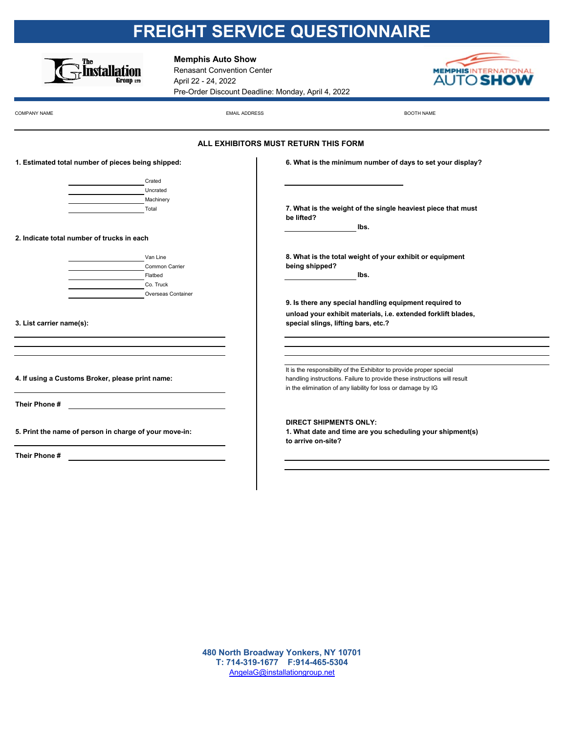# **FREIGHT SERVICE QUESTIONNAIRE**



**Memphis Auto Show**

Renasant Convention Center April 22 - 24, 2022 Pre-Order Discount Deadline: Monday, April 4, 2022



 $\blacksquare$ COMPANY NAME BOOTH NAME

|                                                                                                                                                                                                                               | ALL EXHIBITORS MUST RETURN THIS FORM                                                                                                                                                                            |
|-------------------------------------------------------------------------------------------------------------------------------------------------------------------------------------------------------------------------------|-----------------------------------------------------------------------------------------------------------------------------------------------------------------------------------------------------------------|
| 1. Estimated total number of pieces being shipped:                                                                                                                                                                            | 6. What is the minimum number of days to set your display?                                                                                                                                                      |
| Crated<br>Uncrated<br>Machinery<br>Total                                                                                                                                                                                      | 7. What is the weight of the single heaviest piece that must<br>be lifted?                                                                                                                                      |
| 2. Indicate total number of trucks in each                                                                                                                                                                                    | lbs.                                                                                                                                                                                                            |
| Van Line<br>Common Carrier<br>Flatbed<br>Co. Truck<br>Overseas Container                                                                                                                                                      | 8. What is the total weight of your exhibit or equipment<br>being shipped?<br>lbs.<br>9. Is there any special handling equipment required to                                                                    |
| 3. List carrier name(s):                                                                                                                                                                                                      | unload your exhibit materials, i.e. extended forklift blades,<br>special slings, lifting bars, etc.?                                                                                                            |
| the control of the control of the control of the control of the control of the control of the control of the control of the control of the control of the control of the control of the control of the control of the control |                                                                                                                                                                                                                 |
| 4. If using a Customs Broker, please print name:                                                                                                                                                                              | It is the responsibility of the Exhibitor to provide proper special<br>handling instructions. Failure to provide these instructions will result<br>in the elimination of any liability for loss or damage by IG |
| Their Phone #                                                                                                                                                                                                                 |                                                                                                                                                                                                                 |
| 5. Print the name of person in charge of your move-in:                                                                                                                                                                        | <b>DIRECT SHIPMENTS ONLY:</b><br>1. What date and time are you scheduling your shipment(s)<br>to arrive on-site?                                                                                                |
| Their Phone #                                                                                                                                                                                                                 |                                                                                                                                                                                                                 |
|                                                                                                                                                                                                                               |                                                                                                                                                                                                                 |

AngelaG@installationgroup.net **480 North Broadway Yonkers, NY 10701 T: 714-319-1677 F:914-465-5304**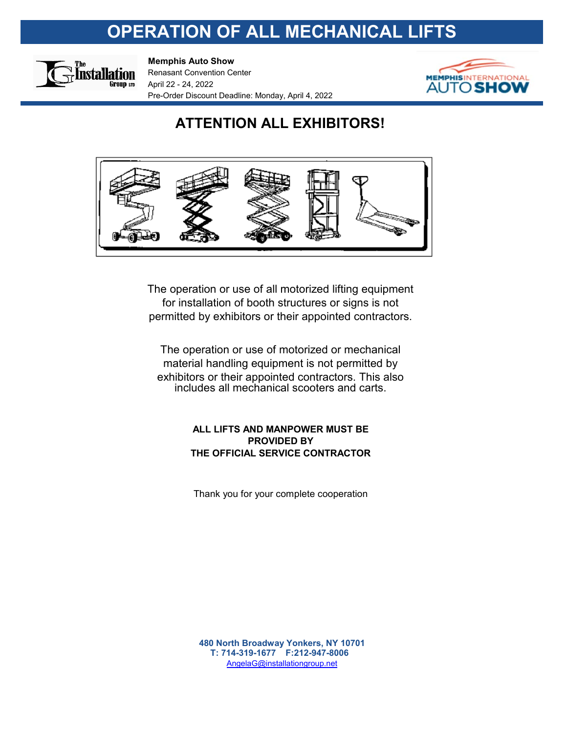# **OPERATION OF ALL MECHANICAL LIFTS**



**Memphis Auto Show**

Renasant Convention Center April 22 - 24, 2022 Pre-Order Discount Deadline: Monday, April 4, 2022



## **ATTENTION ALL EXHIBITORS!**



permitted by exhibitors or their appointed contractors. The operation or use of all motorized lifting equipment for installation of booth structures or signs is not

The operation or use of motorized or mechanical material handling equipment is not permitted by exhibitors or their appointed contractors. This also includes all mechanical scooters and carts.

## **ALL LIFTS AND MANPOWER MUST BE PROVIDED BY THE OFFICIAL SERVICE CONTRACTOR**

Thank you for your complete cooperation

AngelaG@installationgroup.net **480 North Broadway Yonkers, NY 10701 T: 714-319-1677 F:212-947-8006**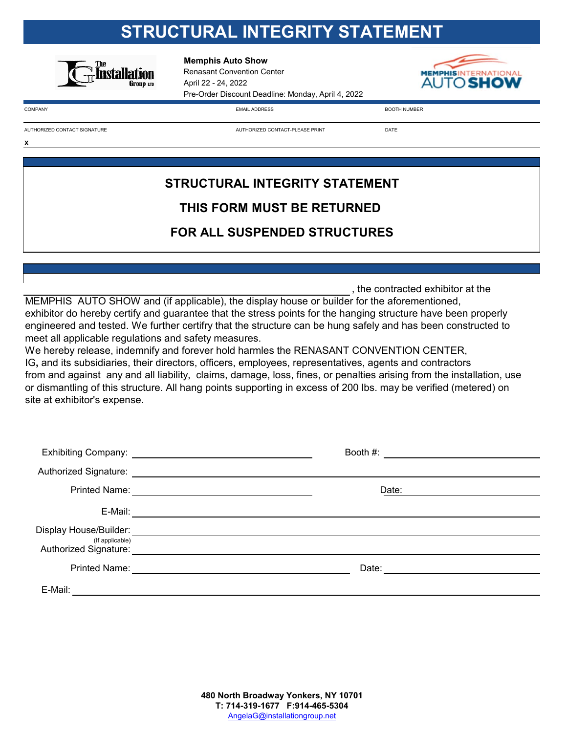# **STRUCTURAL INTEGRITY STATEMENT**



**Memphis Auto Show**

Renasant Convention Center April 22 - 24, 2022 Pre-Order Discount Deadline: Monday, April 4, 2022



**X**

COMPANY EMAIL ADDRESS BOOTH NUMBER

AUTHORIZED CONTACT SIGNATURE

AUTHORIZED CONTACT-PLEASE PRINT **Example 20 YO ALCONDU** 

# **STRUCTURAL INTEGRITY STATEMENT THIS FORM MUST BE RETURNED FOR ALL SUSPENDED STRUCTURES**

, the contracted exhibitor at the

MEMPHIS AUTO SHOW and (if applicable), the display house or builder for the aforementioned, exhibitor do hereby certify and guarantee that the stress points for the hanging structure have been properly engineered and tested. We further certifry that the structure can be hung safely and has been constructed to meet all applicable regulations and safety measures.

We hereby release, indemnify and forever hold harmles the RENASANT CONVENTION CENTER, IG**,** and its subsidiaries, their directors, officers, employees, representatives, agents and contractors from and against any and all liability, claims, damage, loss, fines, or penalties arising from the installation, use or dismantling of this structure. All hang points supporting in excess of 200 lbs. may be verified (metered) on site at exhibitor's expense.

|                                                                    | Booth #:                                                                                                                      |
|--------------------------------------------------------------------|-------------------------------------------------------------------------------------------------------------------------------|
| Authorized Signature:                                              |                                                                                                                               |
| <b>Printed Name:</b>                                               | Date:<br><u> 1980 - Jan Samuel Barbara, martin da shekara 1980 - An tsa a tsa a tsa a tsa a tsa a tsa a tsa a tsa a tsa a</u> |
| E-Mail:                                                            |                                                                                                                               |
| Display House/Builder:<br>(If applicable)<br>Authorized Signature: |                                                                                                                               |
| <b>Printed Name:</b>                                               | Date:                                                                                                                         |
| E-Mail:                                                            |                                                                                                                               |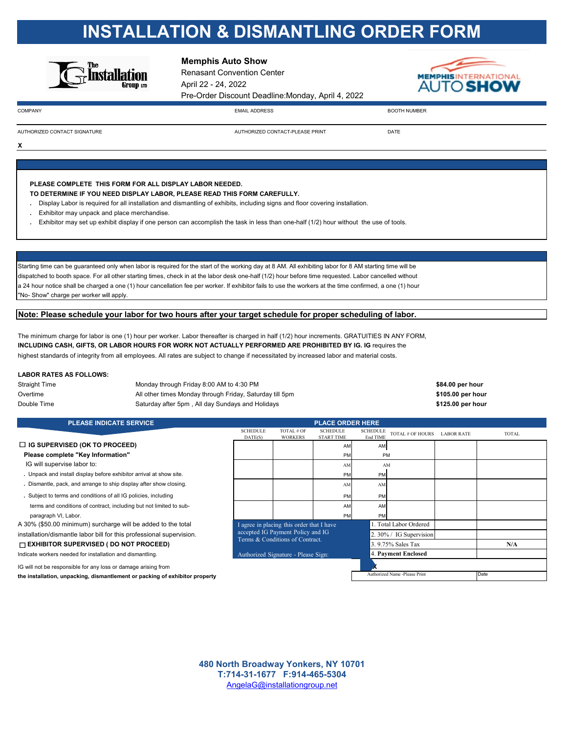# **INSTALLATION & DISMANTLING ORDER FORM**



**Memphis Auto Show**

Renasant Convention Center April 22 - 24, 2022 Pre-Order Discount Deadline:Monday, April 4, 2022



**X**

COMPANY EMAIL ADDRESS BOOTH NUMBER

AUTHORIZED CONTACT SIGNATURE

AUTHORIZED CONTACT-PLEASE PRINT DATE

**PLEASE COMPLETE THIS FORM FOR ALL DISPLAY LABOR NEEDED.**

**TO DETERMINE IF YOU NEED DISPLAY LABOR, PLEASE READ THIS FORM CAREFULLY.**

- **.** Display Labor is required for all installation and dismantling of exhibits, including signs and floor covering installation.
- **.** Exhibitor may unpack and place merchandise.
- **.** Exhibitor may set up exhibit display if one person can accomplish the task in less than one-half (1/2) hour without the use of tools.

Starting time can be guaranteed only when labor is required for the start of the working day at 8 AM. All exhibiting labor for 8 AM starting time will be dispatched to booth space. For all other starting times, check in at the labor desk one-half (1/2) hour before time requested. Labor cancelled without a 24 hour notice shall be charged a one (1) hour cancellation fee per worker. If exhibitor fails to use the workers at the time confirmed, a one (1) hour "No- Show" charge per worker will apply.

### **Note: Please schedule your labor for two hours after your target schedule for proper scheduling of labor.**

The minimum charge for labor is one (1) hour per worker. Labor thereafter is charged in half (1/2) hour increments. GRATUITIES IN ANY FORM, **INCLUDING CASH, GIFTS, OR LABOR HOURS FOR WORK NOT ACTUALLY PERFORMED ARE PROHIBITED BY IG. IG** requires the highest standards of integrity from all employees. All rates are subject to change if necessitated by increased labor and material costs.

### **LABOR RATES AS FOLLOWS:**

| Straight Time | Monday through Friday 8:00 AM to 4:30 PM                 | \$84.00 per hour  |
|---------------|----------------------------------------------------------|-------------------|
| Overtime      | All other times Monday through Friday, Saturday till 5pm | \$105.00 per hour |
| Double Time   | Saturday after 5pm, All day Sundays and Holidays         | \$125.00 per hour |

| <b>PLEASE INDICATE SERVICE</b>                                                  |                            |                                           | <b>PLACE ORDER HERE</b>              |                             |                               |                   |              |  |  |  |  |
|---------------------------------------------------------------------------------|----------------------------|-------------------------------------------|--------------------------------------|-----------------------------|-------------------------------|-------------------|--------------|--|--|--|--|
|                                                                                 | <b>SCHEDULE</b><br>DATE(S) | TOTAL # OF<br><b>WORKERS</b>              | <b>SCHEDULE</b><br><b>START TIME</b> | <b>SCHEDULE</b><br>End TIME | TOTAL # OF HOURS              | <b>LABOR RATE</b> | <b>TOTAL</b> |  |  |  |  |
| $\Box$ IG SUPERVISED (OK TO PROCEED)                                            |                            |                                           | AM                                   | <b>AM</b>                   |                               |                   |              |  |  |  |  |
| Please complete "Key Information"                                               |                            |                                           | PM                                   | PM                          |                               |                   |              |  |  |  |  |
| IG will supervise labor to:                                                     |                            |                                           | AN.                                  | AM                          |                               |                   |              |  |  |  |  |
| . Unpack and install display before exhibitor arrival at show site.             |                            |                                           | PM                                   | PM                          |                               |                   |              |  |  |  |  |
| . Dismantle, pack, and arrange to ship display after show closing.              |                            |                                           | AN.                                  | AM                          |                               |                   |              |  |  |  |  |
| . Subject to terms and conditions of all IG policies, including                 |                            |                                           | PM                                   | PM                          |                               |                   |              |  |  |  |  |
| terms and conditions of contract, including but not limited to sub-             |                            |                                           | AM                                   | AM                          |                               |                   |              |  |  |  |  |
| paragraph VI, Labor.                                                            |                            |                                           | PM                                   | <b>PM</b>                   |                               |                   |              |  |  |  |  |
| A 30% (\$50.00 minimum) surcharge will be added to the total                    |                            | I agree in placing this order that I have |                                      |                             | 1. Total Labor Ordered        |                   |              |  |  |  |  |
| installation/dismantle labor bill for this professional supervision.            |                            | accepted IG Payment Policy and IG         |                                      |                             | 2. 30% / IG Supervision       |                   |              |  |  |  |  |
| Terms & Conditions of Contract.<br>$\Box$ EXHIBITOR SUPERVISED (DO NOT PROCEED) |                            |                                           | 3.9.75% Sales Tax                    |                             |                               | N/A               |              |  |  |  |  |
| Indicate workers needed for installation and dismantling.                       |                            | Authorized Signature - Please Sign:       |                                      |                             | 4. Payment Enclosed           |                   |              |  |  |  |  |
| IG will not be responsible for any loss or damage arising from                  |                            |                                           |                                      |                             |                               |                   |              |  |  |  |  |
| the installation, unpacking, dismantlement or packing of exhibitor property     |                            |                                           |                                      |                             | Authorized Name -Please Print |                   | Date         |  |  |  |  |

AngelaG@installationgroup.net **480 North Broadway Yonkers, NY 10701 T:714-31-1677 F:914-465-5304**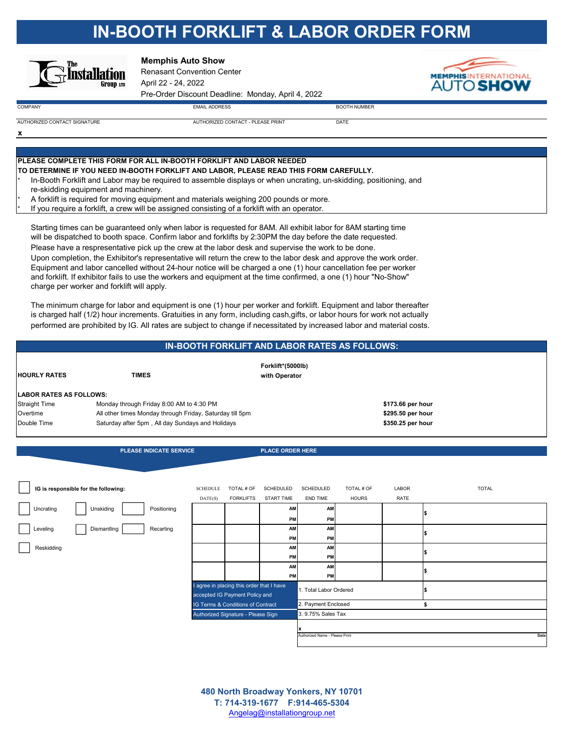# **IN-BOOTH FORKLIFT & LABOR ORDER FORM**



**Memphis Auto Show**

Renasant Convention Center April 22 - 24, 2022 Pre-Order Discount Deadline: Monday, April 4, 2022



AUTHORIZED CONTACT - PLEASE PRINT DATE

**x** AUTHORIZED CONTACT SIGNATURE

COMPANY EMAIL ADDRESS BOOTH NUMBER

**PLEASE COMPLETE THIS FORM FOR ALL IN-BOOTH FORKLIFT AND LABOR NEEDED TO DETERMINE IF YOU NEED IN-BOOTH FORKLIFT AND LABOR, PLEASE READ THIS FORM CAREFULLY.**

In-Booth Forklift and Labor may be required to assemble displays or when uncrating, un-skidding, positioning, and re-skidding equipment and machinery.

A forklift is required for moving equipment and materials weighing 200 pounds or more.

If you require a forklift, a crew will be assigned consisting of a forklift with an operator.

Starting times can be guaranteed only when labor is requested for 8AM. All exhibit labor for 8AM starting time will be dispatched to booth space. Confirm labor and forklifts by 2:30PM the day before the date requested.

Please have a respresentative pick up the crew at the labor desk and supervise the work to be done. Upon completion, the Exhibitor's representative will return the crew to the labor desk and approve the work order. Equipment and labor cancelled without 24-hour notice will be charged a one (1) hour cancellation fee per worker and forklift. If exhibitor fails to use the workers and equipment at the time confirmed, a one (1) hour "No-Show" charge per worker and forklift will apply.

The minimum charge for labor and equipment is one (1) hour per worker and forklift. Equipment and labor thereafter is charged half (1/2) hour increments. Gratuities in any form, including cash,gifts, or labor hours for work not actually performed are prohibited by IG. All rates are subject to change if necessitated by increased labor and material costs.

| IN-BOOTH FORKLIFT AND LABOR RATES AS FOLLOWS: |                                                          |                                    |                   |  |  |  |  |  |
|-----------------------------------------------|----------------------------------------------------------|------------------------------------|-------------------|--|--|--|--|--|
| <b>HOURLY RATES</b>                           | <b>TIMES</b>                                             | Forklift*(5000lb)<br>with Operator |                   |  |  |  |  |  |
| <b>LABOR RATES AS FOLLOWS:</b>                |                                                          |                                    |                   |  |  |  |  |  |
| <b>Straight Time</b>                          | Monday through Friday 8:00 AM to 4:30 PM                 |                                    | \$173.66 per hour |  |  |  |  |  |
| Overtime                                      | All other times Monday through Friday, Saturday till 5pm |                                    | \$295.50 per hour |  |  |  |  |  |
| Double Time                                   | Saturday after 5pm, All day Sundays and Holidays         |                                    | \$350.25 per hour |  |  |  |  |  |

**PLEASE INDICATE SERVICE PLACE ORDER HERE** 

|            | IG is responsible for the following: |             | <b>SCHEDULE</b> | TOTAL # OF                                                                  | <b>SCHEDULED</b>  | <b>SCHEDULED</b>               | TOTAL # OF   | LABOR | <b>TOTAL</b> |
|------------|--------------------------------------|-------------|-----------------|-----------------------------------------------------------------------------|-------------------|--------------------------------|--------------|-------|--------------|
|            |                                      |             | DATE(S)         | <b>FORKLIFTS</b>                                                            | <b>START TIME</b> | END TIME                       | <b>HOURS</b> | RATE  |              |
| Uncrating  | Unskiding                            | Positioning |                 |                                                                             | <b>AM</b>         | <b>AM</b>                      |              |       |              |
|            |                                      |             |                 |                                                                             | PM                | PM                             |              |       |              |
| Leveling   | Dismantling                          | Recarting   |                 |                                                                             | <b>AM</b>         | <b>AM</b>                      |              |       |              |
|            |                                      |             |                 |                                                                             | PM                | PM                             |              |       |              |
| Reskidding |                                      |             |                 |                                                                             | AM                | <b>AM</b>                      |              |       |              |
|            |                                      |             |                 |                                                                             | PM                | PM                             |              |       |              |
|            |                                      |             |                 |                                                                             | <b>AM</b>         | <b>AM</b>                      |              |       |              |
|            |                                      |             |                 |                                                                             | PM                | PM                             |              |       |              |
|            |                                      |             |                 | I agree in placing this order that I have<br>accepted IG Payment Policy and |                   | 1. Total Labor Ordered         |              |       |              |
|            |                                      |             |                 | IG Terms & Conditions of Contract                                           |                   | 2. Payment Enclosed            |              |       |              |
|            |                                      |             |                 | Authorized Signature - Please Sign                                          |                   | 3. 9.75% Sales Tax             |              |       |              |
|            |                                      |             |                 |                                                                             |                   |                                |              |       |              |
|            |                                      |             |                 |                                                                             |                   | Authorized Name - Please Print |              |       | Date         |

Angelag@installationgroup.net **T: 714-319-1677 F:914-465-5304 480 North Broadway Yonkers, NY 10701**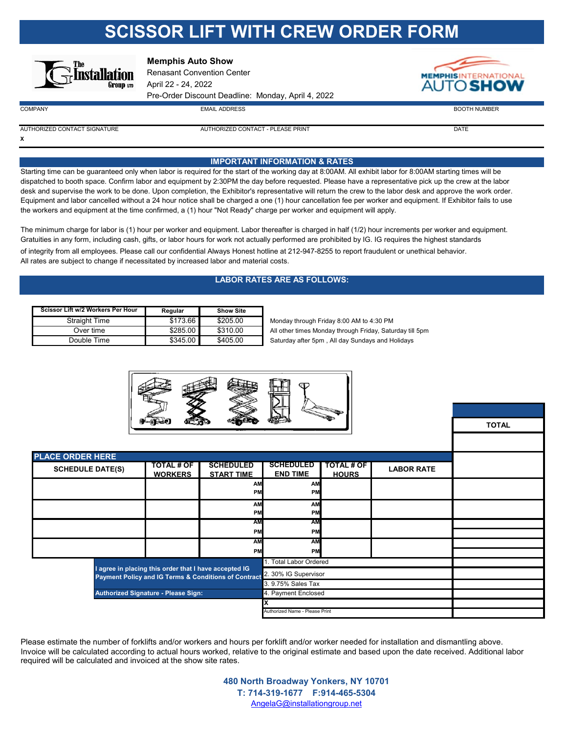# **SCISSOR LIFT WITH CREW ORDER FORM**



## **Memphis Auto Show**

Renasant Convention Center April 22 - 24, 2022 Pre-Order Discount Deadline: Monday, April 4, 2022



 $\blacksquare$ COMPANY  $\blacksquare$  BOOTH NUMBER

**TOTAL**

**X**

AUTHORIZED CONTACT SIGNATURE AUTHORIZED CONTACT - PLEASE PRINT DATE

### **IMPORTANT INFORMATION & RATES**

Starting time can be guaranteed only when labor is required for the start of the working day at 8:00AM. All exhibit labor for 8:00AM starting times will be dispatched to booth space. Confirm labor and equipment by 2:30PM the day before requested. Please have a representative pick up the crew at the labor desk and supervise the work to be done. Upon completion, the Exhibitor's representative will return the crew to the labor desk and approve the work order. Equipment and labor cancelled without a 24 hour notice shall be charged a one (1) hour cancellation fee per worker and equipment. If Exhibitor fails to use the workers and equipment at the time confirmed, a (1) hour "Not Ready" charge per worker and equipment will apply.

The minimum charge for labor is (1) hour per worker and equipment. Labor thereafter is charged in half (1/2) hour increments per worker and equipment. Gratuities in any form, including cash, gifts, or labor hours for work not actually performed are prohibited by IG. IG requires the highest standards

of integrity from all employees. Please call our confidential Always Honest hotline at 212-947-8255 to report fraudulent or unethical behavior. All rates are subject to change if necessitated by increased labor and material costs.

## **LABOR RATES ARE AS FOLLOWS:**

| Scissor Lift w/2 Workers Per Hour | Regular  | <b>Show Site</b> |
|-----------------------------------|----------|------------------|
| <b>Straight Time</b>              | \$173.66 | \$205.00         |
| Over time                         | \$285.00 | \$310.00         |
| Double Time                       | \$345.00 | \$405.00         |

Monday through Friday 8:00 AM to 4:30 PM All other times Monday through Friday, Saturday till 5pm

Saturday after 5pm, All day Sundays and Holidays



| <b>PLACE ORDER HERE</b> |                                                       |                                                                           |                                     |                                   |                     |  |  |  |  |
|-------------------------|-------------------------------------------------------|---------------------------------------------------------------------------|-------------------------------------|-----------------------------------|---------------------|--|--|--|--|
| <b>SCHEDULE DATE(S)</b> | <b>TOTAL # OF</b><br><b>WORKERS</b>                   | <b>SCHEDULED</b><br><b>START TIME</b>                                     | <b>SCHEDULED</b><br><b>END TIME</b> | <b>TOTAL # OF</b><br><b>HOURS</b> | <b>LABOR RATE</b>   |  |  |  |  |
|                         |                                                       | <b>AM</b><br>PM                                                           | AM<br>PM                            |                                   |                     |  |  |  |  |
|                         |                                                       | <b>AM</b><br>PM                                                           | AM<br>PM                            |                                   |                     |  |  |  |  |
|                         |                                                       | <b>AM</b>                                                                 | <b>AM</b>                           |                                   |                     |  |  |  |  |
|                         |                                                       | <b>PM</b>                                                                 | PM                                  |                                   |                     |  |  |  |  |
|                         |                                                       | AM                                                                        | AM                                  |                                   |                     |  |  |  |  |
|                         |                                                       | PM                                                                        | PM                                  |                                   |                     |  |  |  |  |
|                         |                                                       |                                                                           | 1. Total Labor Ordered              |                                   |                     |  |  |  |  |
|                         | I agree in placing this order that I have accepted IG | Payment Policy and IG Terms & Conditions of Contract 2. 30% IG Supervisor |                                     |                                   |                     |  |  |  |  |
|                         | 3.9.75% Sales Tax                                     |                                                                           |                                     |                                   |                     |  |  |  |  |
|                         | Authorized Signature - Please Sign:                   |                                                                           |                                     |                                   | 4. Payment Enclosed |  |  |  |  |
|                         |                                                       |                                                                           |                                     |                                   |                     |  |  |  |  |
|                         |                                                       |                                                                           | Authorized Name - Please Print      |                                   |                     |  |  |  |  |

Please estimate the number of forklifts and/or workers and hours per forklift and/or worker needed for installation and dismantling above. Invoice will be calculated according to actual hours worked, relative to the original estimate and based upon the date received. Additional labor required will be calculated and invoiced at the show site rates.

> **480 North Broadway Yonkers, NY 10701 T: 714-319-1677 F:914-465-5304** AngelaG@installationgroup.net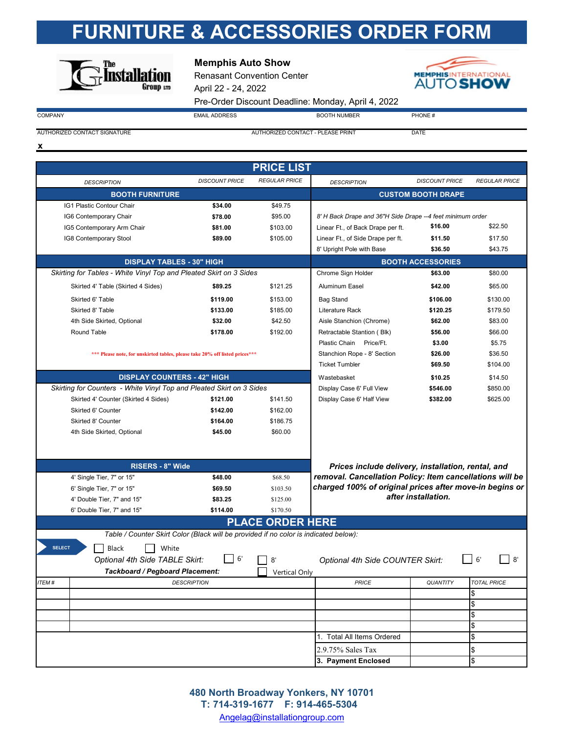# **FURNITURE & ACCESSORIES ORDER FORM**



## **Memphis Auto Show**

Renasant Convention Center April 22 - 24, 2022 Pre-Order Discount Deadline: Monday, April 4, 2022



 $COMPANY$  PHONE  $\#$   $EMAL$   $ADDRESS$  BOOTH NUMBER PHONE  $\#$ 

AUTHORIZED CONTACT SIGNATURE AUTHORIZED CONTACT - PLEASE PRINT DATE

**x**

|               |                                                                                      |                       | <b>PRICE LIST</b>       |                                                            |                           |                      |
|---------------|--------------------------------------------------------------------------------------|-----------------------|-------------------------|------------------------------------------------------------|---------------------------|----------------------|
|               |                                                                                      |                       |                         |                                                            |                           |                      |
|               | <b>DESCRIPTION</b>                                                                   | <b>DISCOUNT PRICE</b> | <b>REGULAR PRICE</b>    | <b>DESCRIPTION</b>                                         | <b>DISCOUNT PRICE</b>     | <b>REGULAR PRICE</b> |
|               | <b>BOOTH FURNITURE</b>                                                               |                       |                         |                                                            | <b>CUSTOM BOOTH DRAPE</b> |                      |
|               | IG1 Plastic Contour Chair                                                            | \$34.00               | \$49.75                 |                                                            |                           |                      |
|               | IG6 Contemporary Chair                                                               | \$78.00               | \$95.00                 | 8' H Back Drape and 36"H Side Drape --4 feet minimum order |                           |                      |
|               | IG5 Contemporary Arm Chair                                                           | \$81.00               | \$103.00                | Linear Ft., of Back Drape per ft.                          | \$16.00                   | \$22.50              |
|               | IG8 Contemporary Stool                                                               | \$89.00               | \$105.00                | Linear Ft., of Side Drape per ft.                          | \$11.50                   | \$17.50              |
|               |                                                                                      |                       |                         | 8' Upright Pole with Base                                  | \$36.50                   | \$43.75              |
|               | <b>DISPLAY TABLES - 30" HIGH</b>                                                     |                       |                         |                                                            | <b>BOOTH ACCESSORIES</b>  |                      |
|               | Skirting for Tables - White Vinyl Top and Pleated Skirt on 3 Sides                   |                       |                         | Chrome Sign Holder                                         | \$63.00                   | \$80.00              |
|               | Skirted 4' Table (Skirted 4 Sides)                                                   | \$89.25               | \$121.25                | Aluminum Easel                                             | \$42.00                   | \$65.00              |
|               | Skirted 6' Table                                                                     | \$119.00              | \$153.00                | <b>Bag Stand</b>                                           | \$106.00                  | \$130.00             |
|               | Skirted 8' Table                                                                     | \$133.00              | \$185.00                | Literature Rack                                            | \$120.25                  | \$179.50             |
|               | 4th Side Skirted, Optional                                                           | \$32.00               | \$42.50                 | Aisle Stanchion (Chrome)                                   | \$62.00                   | \$83.00              |
|               | Round Table                                                                          | \$178.00              | \$192.00                | Retractable Stantion (Blk)                                 | \$56.00                   | \$66.00              |
|               |                                                                                      |                       |                         | Plastic Chain Price/Ft.                                    | \$3.00                    | \$5.75               |
|               | *** Please note, for unskirted tables, please take 20% off listed prices***          |                       |                         | Stanchion Rope - 8' Section                                | \$26.00                   | \$36.50              |
|               |                                                                                      |                       |                         | <b>Ticket Tumbler</b>                                      | \$69.50                   | \$104.00             |
|               | <b>DISPLAY COUNTERS - 42" HIGH</b>                                                   |                       |                         | Wastebasket                                                | \$10.25                   | \$14.50              |
|               | Skirting for Counters - White Vinyl Top and Pleated Skirt on 3 Sides                 |                       |                         | Display Case 6' Full View                                  | \$546.00                  | \$850.00             |
|               | Skirted 4' Counter (Skirted 4 Sides)                                                 | \$121.00              | \$141.50                | Display Case 6' Half View                                  | \$382.00                  | \$625.00             |
|               | Skirted 6' Counter                                                                   | \$142.00              | \$162.00                |                                                            |                           |                      |
|               | Skirted 8' Counter                                                                   | \$164.00              | \$186.75                |                                                            |                           |                      |
|               | 4th Side Skirted, Optional                                                           | \$45.00               | \$60.00                 |                                                            |                           |                      |
|               |                                                                                      |                       |                         |                                                            |                           |                      |
|               |                                                                                      |                       |                         |                                                            |                           |                      |
|               | <b>RISERS - 8" Wide</b>                                                              |                       |                         | Prices include delivery, installation, rental, and         |                           |                      |
|               | 4' Single Tier, 7" or 15"                                                            | \$48.00               | \$68.50                 | removal. Cancellation Policy: Item cancellations will be   |                           |                      |
|               | 6' Single Tier, 7" or 15"                                                            | \$69.50               | \$103.50                | charged 100% of original prices after move-in begins or    | after installation.       |                      |
|               | 4' Double Tier, 7" and 15"                                                           | \$83.25               | \$125.00                |                                                            |                           |                      |
|               | 6' Double Tier, 7" and 15"                                                           | \$114.00              | \$170.50                |                                                            |                           |                      |
|               |                                                                                      |                       | <b>PLACE ORDER HERE</b> |                                                            |                           |                      |
|               | Table / Counter Skirt Color (Black will be provided if no color is indicated below): |                       |                         |                                                            |                           |                      |
| <b>SELECT</b> | Black<br>White                                                                       |                       |                         |                                                            |                           |                      |
|               | Optional 4th Side TABLE Skirt:                                                       | 6                     | 8'                      | Optional 4th Side COUNTER Skirt:                           |                           | 6'<br>8'             |
|               | Tackboard / Pegboard Placement:                                                      |                       | Vertical Only           |                                                            |                           |                      |
| ITEM#         |                                                                                      | <b>DESCRIPTION</b>    |                         | <b>PRICE</b>                                               | <b>QUANTITY</b>           | <b>TOTAL PRICE</b>   |
|               |                                                                                      |                       |                         |                                                            |                           | \$                   |
|               |                                                                                      |                       |                         |                                                            |                           | $\,$                 |
|               |                                                                                      |                       |                         |                                                            |                           | \$                   |
|               |                                                                                      |                       |                         |                                                            |                           | \$                   |
|               |                                                                                      |                       |                         | 1. Total All Items Ordered                                 |                           | \$                   |
|               |                                                                                      |                       |                         | 2.9.75% Sales Tax                                          |                           | \$                   |
|               |                                                                                      |                       |                         | 3. Payment Enclosed                                        |                           | $\overline{\$}$      |

Angelag@installationgroup.com **T: 714-319-1677 F: 914-465-5304 480 North Broadway Yonkers, NY 10701**